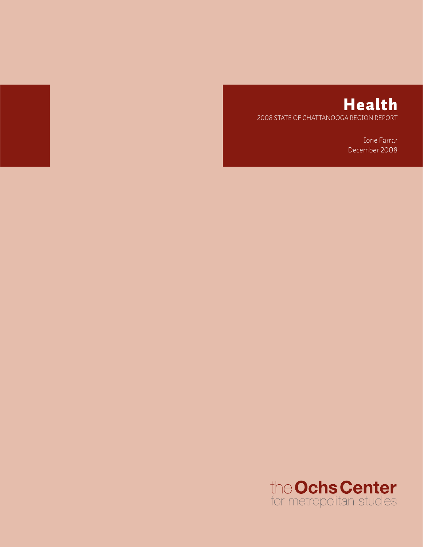

# Health 2008 State of Chattanooga Region Report

Ione Farrar December 2008

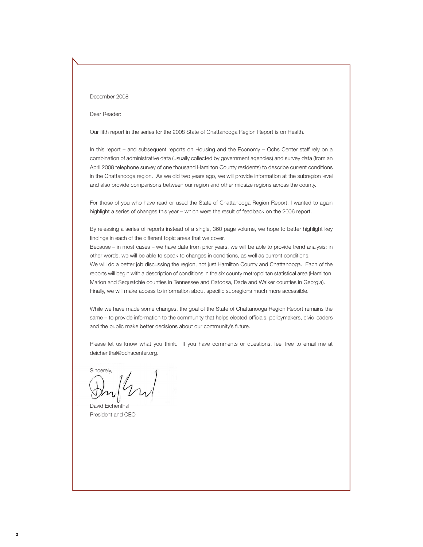#### December 2008

Dear Reader:

Our fifth report in the series for the 2008 State of Chattanooga Region Report is on Health.

In this report – and subsequent reports on Housing and the Economy – Ochs Center staff rely on a combination of administrative data (usually collected by government agencies) and survey data (from an April 2008 telephone survey of one thousand Hamilton County residents) to describe current conditions in the Chattanooga region. As we did two years ago, we will provide information at the subregion level and also provide comparisons between our region and other midsize regions across the county.

For those of you who have read or used the State of Chattanooga Region Report, I wanted to again highlight a series of changes this year – which were the result of feedback on the 2006 report.

By releasing a series of reports instead of a single, 360 page volume, we hope to better highlight key findings in each of the different topic areas that we cover.

Because – in most cases – we have data from prior years, we will be able to provide trend analysis: in other words, we will be able to speak to changes in conditions, as well as current conditions. We will do a better job discussing the region, not just Hamilton County and Chattanooga. Each of the reports will begin with a description of conditions in the six county metropolitan statistical area (Hamilton, Marion and Sequatchie counties in Tennessee and Catoosa, Dade and Walker counties in Georgia). Finally, we will make access to information about specific subregions much more accessible.

While we have made some changes, the goal of the State of Chattanooga Region Report remains the same – to provide information to the community that helps elected officials, policymakers, civic leaders and the public make better decisions about our community's future.

Please let us know what you think. If you have comments or questions, feel free to email me at deichenthal@ochscenter.org.

Sincerely,

David Eichenthal President and CEO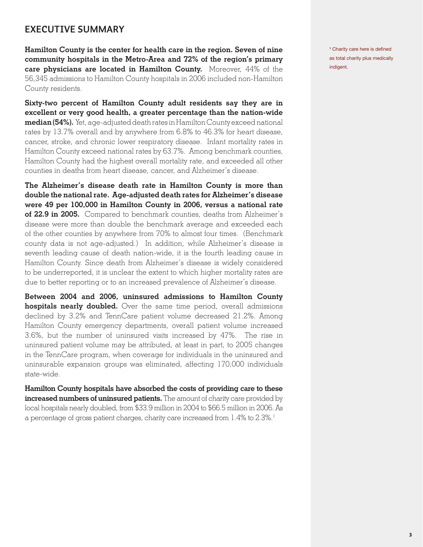### **Executive Summary**

**Hamilton County is the center for health care in the region. Seven of nine community hospitals in the Metro-Area and 72% of the region's primary care physicians are located in Hamilton County.** Moreover, 44% of the 56,345 admissions to Hamilton County hospitals in 2006 included non-Hamilton County residents.

**Sixty-two percent of Hamilton County adult residents say they are in excellent or very good health, a greater percentage than the nation-wide median (54%).** Yet, age-adjusted death rates in Hamilton County exceed national rates by 13.7% overall and by anywhere from 6.8% to 46.3% for heart disease, cancer, stroke, and chronic lower respiratory disease. Infant mortality rates in Hamilton County exceed national rates by 63.7%. Among benchmark counties, Hamilton County had the highest overall mortality rate, and exceeded all other counties in deaths from heart disease, cancer, and Alzheimer's disease.

**The Alzheimer's disease death rate in Hamilton County is more than double the national rate. Age-adjusted death rates for Alzheimer's disease were 49 per 100,000 in Hamilton County in 2006, versus a national rate of 22.9 in 2005.** Compared to benchmark counties, deaths from Alzheimer's disease were more than double the benchmark average and exceeded each of the other counties by anywhere from 70% to almost four times. (Benchmark county data is not age-adjusted.) In addition, while Alzheimer's disease is seventh leading cause of death nation-wide, it is the fourth leading cause in Hamilton County. Since death from Alzheimer's disease is widely considered to be underreported, it is unclear the extent to which higher mortality rates are due to better reporting or to an increased prevalence of Alzheimer's disease.

**Between 2004 and 2006, uninsured admissions to Hamilton County hospitals nearly doubled.** Over the same time period, overall admissions declined by 3.2% and TennCare patient volume decreased 21.2%. Among Hamilton County emergency departments, overall patient volume increased 3.6%, but the number of uninsured visits increased by 47%. The rise in uninsured patient volume may be attributed, at least in part, to 2005 changes in the TennCare program, when coverage for individuals in the uninsured and uninsurable expansion groups was eliminated, affecting 170,000 individuals state-wide.

**Hamilton County hospitals have absorbed the costs of providing care to these increased numbers of uninsured patients.** The amount of charity care provided by local hospitals nearly doubled, from \$33.9 million in 2004 to \$66.5 million in 2006. As a percentage of gross patient charges, charity care increased from 1.4% to 2.3%.<sup>1</sup>

**<sup>1</sup>** Charity care here is defined as total charity plus medically indigent.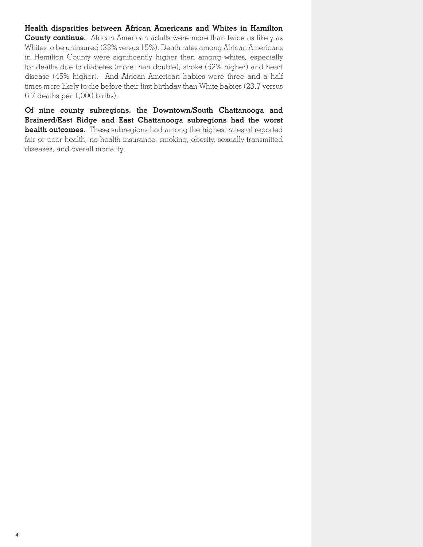**Health disparities between African Americans and Whites in Hamilton County continue.** African American adults were more than twice as likely as Whites to be uninsured (33% versus 15%). Death rates among African Americans in Hamilton County were significantly higher than among whites, especially for deaths due to diabetes (more than double), stroke (52% higher) and heart disease (45% higher). And African American babies were three and a half times more likely to die before their first birthday than White babies (23.7 versus 6.7 deaths per 1,000 births).

**Of nine county subregions, the Downtown/South Chattanooga and Brainerd/East Ridge and East Chattanooga subregions had the worst health outcomes.** These subregions had among the highest rates of reported fair or poor health, no health insurance, smoking, obesity, sexually transmitted diseases, and overall mortality.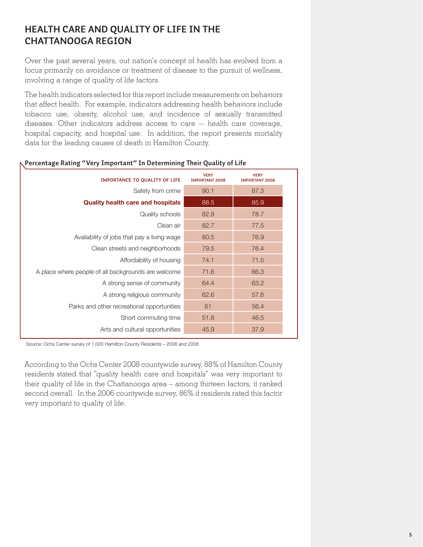### **Health Care and Quality of Life in the Chattanooga Region**

Over the past several years, out nation's concept of health has evolved from a focus primarily on avoidance or treatment of disease to the pursuit of wellness, involving a range of quality of life factors.

The health indicators selected for this report include measurements on behaviors that affect health. For example, indicators addressing health behaviors include tobacco use, obesity, alcohol use, and incidence of sexually transmitted diseases. Other indicators address access to care -- health care coverage, hospital capacity, and hospital use. In addition, the report presents mortality data for the leading causes of death in Hamilton County.

| <b>IMPORTANCE TO QUALITY OF LIFE</b>                | <b>VERY</b><br><b>IMPORTANT 2008</b> | <b>VERY</b><br><b>IMPORTANT 2006</b> |
|-----------------------------------------------------|--------------------------------------|--------------------------------------|
| Safety from crime                                   | 90.1                                 | 87.3                                 |
| <b>Quality health care and hospitals</b>            | 88.5                                 | 85.9                                 |
| Quality schools                                     | 82.9                                 | 78.7                                 |
| Clean air                                           | 82.7                                 | 77.5                                 |
| Availability of jobs that pay a living wage         | 80.5                                 | 76.9                                 |
| Clean streets and neighborhoods                     | 79.5                                 | 76.4                                 |
| Affordability of housing                            | 74.1                                 | 71.5                                 |
| A place where people of all backgrounds are welcome | 71.6                                 | 66.3                                 |
| A strong sense of community                         | 64.4                                 | 63.2                                 |
| A strong religious community                        | 62.6                                 | 57.6                                 |
| Parks and other recreational opportunities          | 61                                   | 56.4                                 |
| Short commuting time                                | 51.8                                 | 46.5                                 |
| Arts and cultural opportunities                     | 45.9                                 | 37.9                                 |

#### **Percentage Rating "Very Important" In Determining Their Quality of Life**

Source: Ochs Center survey of 1,000 Hamilton County Residents – 2006 and 2008

According to the Ochs Center 2008 countywide survey, 88% of Hamilton County residents stated that "quality health care and hospitals" was very important to their quality of life in the Chattanooga area – among thirteen factors, it ranked second overall. In the 2006 countywide survey, 86% if residents rated this factor very important to quality of life.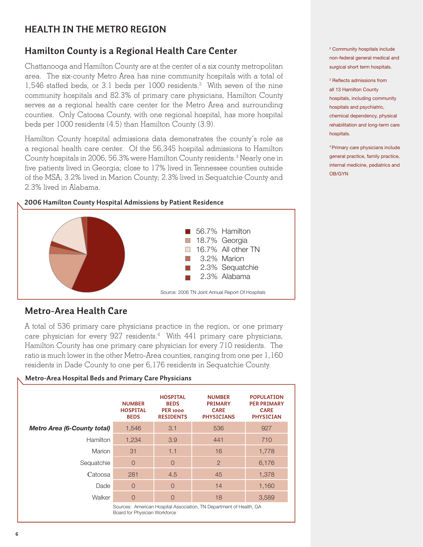# **HEALTH IN THE METRO REGION**

### **Hamilton County is a Regional Health Care Center**

Chattanooga and Hamilton County are at the center of a six county metropolitan area. The six-county Metro Area has nine community hospitals with a total of 1,546 staffed beds, or 3.1 beds per 1000 residents.<sup>2</sup> With seven of the nine community hospitals and 82.3% of primary care physicians, Hamilton County serves as a regional health care center for the Metro Area and surrounding counties. Only Catoosa County, with one regional hospital, has more hospital beds per 1000 residents (4.5) than Hamilton County (3.9).

Hamilton County hospital admissions data demonstrates the county's role as a regional health care center. Of the 56,345 hospital admissions to Hamilton County hospitals in 2006, 56.3% were Hamilton County residents.<sup>3</sup> Nearly one in five patients lived in Georgia; close to 17% lived in Tennessee counties outside of the MSA; 3.2% lived in Marion County; 2.3% lived in Sequatchie County and 2.3% lived in Alabama.

#### **2006 Hamilton County Hospital Admissions by Patient Residence**



### **Metro-Area Health Care**

A total of 536 primary care physicians practice in the region, or one primary care physician for every  $927$  residents. $4$  With  $441$  primary care physicians, Hamilton County has one primary care physician for every 710 residents. The ratio is much lower in the other Metro-Area counties, ranging from one per 1,160 residents in Dade County to one per 6,176 residents in Sequatchie County.

|                                    | <b>NUMBER</b><br><b>HOSPITAL</b><br><b>BEDS</b> | <b>HOSPITAL</b><br><b>BEDS</b><br>PER <sub>1000</sub><br><b>RESIDENTS</b> | <b>NUMBER</b><br><b>PRIMARY</b><br><b>CARE</b><br><b>PHYSICIANS</b> | <b>POPULATION</b><br><b>PER PRIMARY</b><br><b>CARE</b><br><b>PHYSICIAN</b> |
|------------------------------------|-------------------------------------------------|---------------------------------------------------------------------------|---------------------------------------------------------------------|----------------------------------------------------------------------------|
| <b>Metro Area (6-County total)</b> | 1,546                                           | 3.1                                                                       | 536                                                                 | 927                                                                        |
| <b>Hamilton</b>                    | 1,234                                           | 3.9                                                                       | 441                                                                 | 710                                                                        |
| Marion                             | 31                                              | 1.1                                                                       | 16                                                                  | 1,778                                                                      |
| Sequatchie                         | $\overline{0}$                                  | $\overline{O}$                                                            | $\overline{2}$                                                      | 6,176                                                                      |
| Catoosa                            | 281                                             | 4.5                                                                       | 45                                                                  | 1,378                                                                      |
| Dade                               | $\overline{0}$                                  | $\overline{O}$                                                            | 14                                                                  | 1,160                                                                      |
| Walker                             | $\overline{0}$                                  | $\overline{0}$                                                            | 18                                                                  | 3,589                                                                      |
|                                    | Board for Physician Workforce                   |                                                                           | Sources: American Hospital Association, TN Department of Health, GA |                                                                            |

#### **Metro-Area Hospital Beds and Primary Care Physicians**

2 Community hospitals include non-federal general medical and surgical short term hospitals.

3 Reflects admissions from all 13 Hamilton County hospitals, including community hospitals and psychiatric, chemical dependency, physical rehabilitation and long-term care hospitals.

<sup>4</sup>Primary care physicians include general practice, family practice, internal medicine, pediatrics and OB/GYN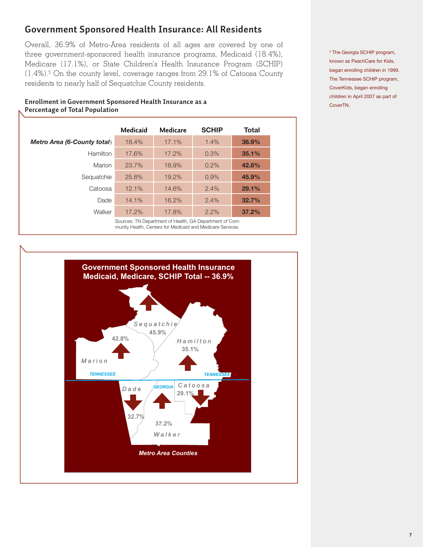### **Government Sponsored Health Insurance: All Residents**

Overall, 36.9% of Metro-Area residents of all ages are covered by one of three government-sponsored health insurance programs, Medicaid (18.4%), Medicare (17.1%), or State Children's Health Insurance Program (SCHIP) (1.4%).5 On the county level, coverage ranges from 29.1% of Catoosa County residents to nearly half of Sequatchie County residents.

|                             | Medicaid | Medicare                  | <b>SCHIP</b> | Total |
|-----------------------------|----------|---------------------------|--------------|-------|
| Metro Area (6-County total) | 18.4%    | 17.1%                     | 1.4%         | 36.9% |
| <b>Hamilton</b>             | 17.6%    | 17.2%                     | 0.3%         | 35.1% |
| Marion                      | 23.7%    | 18.9%                     | 0.2%         | 42.8% |
| Sequatchie                  | 25.8%    | 19.2%                     | 0.9%         | 45.9% |
| Catoosa                     | 12.1%    | 14.6%                     | 2.4%         | 29.1% |
| Dade                        | 14.1%    | 16.2%                     | 2.4%         | 32.7% |
| Walker                      | 17.2%    | 17.8%                     | 2.2%         | 37.2% |
|                             |          | 0 TND I III III OAD I ITO |              |       |

**Enrollment in Government Sponsored Health Insurance as a Percentage of Total Population**

> Sources: TN Department of Health, GA Department of Community Health, Centers for Medicaid and Medicare Services



<sup>5</sup> The Georgia SCHIP program, known as PeachCare for Kids, began enrolling children in 1999. The Tennessee SCHIP program, CoverKids, began enrolling children in April 2007 as part of CoverTN.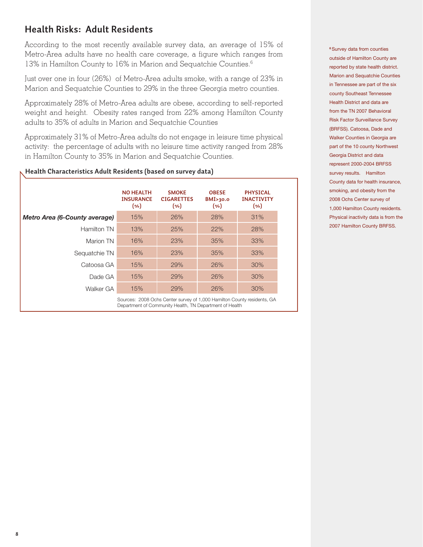# **Health Risks: Adult Residents**

According to the most recently available survey data, an average of 15% of Metro-Area adults have no health care coverage, a figure which ranges from 13% in Hamilton County to 16% in Marion and Sequatchie Counties.<sup>6</sup>

Just over one in four (26%) of Metro-Area adults smoke, with a range of 23% in Marion and Sequatchie Counties to 29% in the three Georgia metro counties.

Approximately 28% of Metro-Area adults are obese, according to self-reported weight and height. Obesity rates ranged from 22% among Hamilton County adults to 35% of adults in Marion and Sequatchie Counties

Approximately 31% of Metro-Area adults do not engage in leisure time physical activity: the percentage of adults with no leisure time activity ranged from 28% in Hamilton County to 35% in Marion and Sequatchie Counties.

#### **Health Characteristics Adult Residents (based on survey data)**

|                                      | <b>NO HEALTH</b><br><b>INSURANCE</b><br>$(\% )$ | <b>SMOKE</b><br><b>CIGARETTES</b><br>(%)                                | <b>OBESE</b><br>BMI>30.0<br>(%) | <b>PHYSICAL</b><br><b>INACTIVITY</b><br>(%) |
|--------------------------------------|-------------------------------------------------|-------------------------------------------------------------------------|---------------------------------|---------------------------------------------|
| <b>Metro Area (6-County average)</b> | 15%                                             | 26%                                                                     | 28%                             | 31%                                         |
| Hamilton TN                          | 13%                                             | 25%                                                                     | 22%                             | 28%                                         |
| Marion TN                            | 16%                                             | 23%                                                                     | 35%                             | 33%                                         |
| Sequatchie TN                        | 16%                                             | 23%                                                                     | 35%                             | 33%                                         |
| Catoosa GA                           | 15%                                             | 29%                                                                     | 26%                             | 30%                                         |
| Dade GA                              | 15%                                             | 29%                                                                     | 26%                             | 30%                                         |
| Walker GA                            | 15%                                             | 29%                                                                     | 26%                             | $30\%$                                      |
|                                      |                                                 | Sources: 2008 Ochs Center survey of 1,000 Hamilton County residents, GA |                                 |                                             |

Sources: 2008 Ochs Center survey of 1,000 Hamilton County residents, GA Department of Community Health, TN Department of Health

**<sup>6</sup>**Survey data from counties outside of Hamilton County are reported by state health district. Marion and Sequatchie Counties in Tennessee are part of the six county Southeast Tennessee Health District and data are from the TN 2007 Behavioral Risk Factor Surveillance Survey (BRFSS). Catoosa, Dade and Walker Counties in Georgia are part of the 10 county Northwest Georgia District and data represent 2000-2004 BRFSS survey results. Hamilton County data for health insurance, smoking, and obesity from the 2008 Ochs Center survey of 1,000 Hamilton County residents. Physical inactivity data is from the 2007 Hamilton County BRFSS.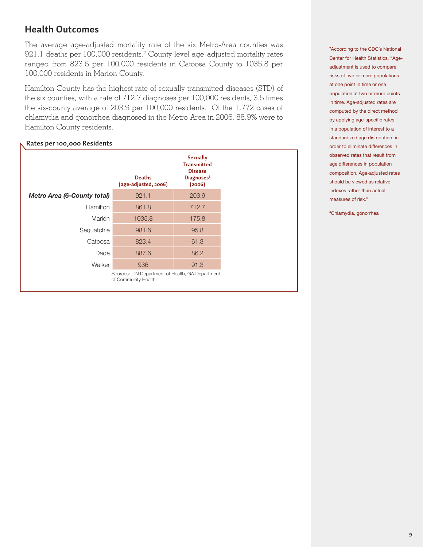### **Health Outcomes**

The average age-adjusted mortality rate of the six Metro-Area counties was 921.1 deaths per 100,000 residents.7 County-level age-adjusted mortality rates ranged from 823.6 per 100,000 residents in Catoosa County to 1035.8 per 100,000 residents in Marion County.

Hamilton County has the highest rate of sexually transmitted diseases (STD) of the six counties, with a rate of 712.7 diagnoses per 100,000 residents, 3.5 times the six-county average of 203.9 per 100,000 residents. Of the 1,772 cases of chlamydia and gonorrhea diagnosed in the Metro-Area in 2006, 88.9% were to Hamilton County residents.

#### **Rates per 100,000 Residents**

|                                    | <b>Deaths</b><br>(age-adjusted, 2006)                                  | <b>Sexually</b><br><b>Transmitted</b><br><b>Disease</b><br>Diagnoses <sup>8</sup><br>(2006) |
|------------------------------------|------------------------------------------------------------------------|---------------------------------------------------------------------------------------------|
| <b>Metro Area (6-County total)</b> | 921.1                                                                  | 203.9                                                                                       |
| <b>Hamilton</b>                    | 861.8                                                                  | 712.7                                                                                       |
| Marion                             | 1035.8                                                                 | 175.8                                                                                       |
| Sequatchie                         | 981.6                                                                  | 95.8                                                                                        |
| Catoosa                            | 823.4                                                                  | 61.3                                                                                        |
| Dade                               | 887.6                                                                  | 86.2                                                                                        |
| Walker                             | 936                                                                    | 91.3                                                                                        |
|                                    | Sources: TN Department of Health, GA Department<br>of Community Health |                                                                                             |

**7** According to the CDC's National Center for Health Statistics, "Ageadjustment is used to compare risks of two or more populations at one point in time or one population at two or more points in time. Age-adjusted rates are computed by the direct method by applying age-specific rates in a population of interest to a standardized age distribution, in order to eliminate differences in observed rates that result from age differences in population composition. Age-adjusted rates should be viewed as relative indexes rather than actual measures of risk."

**8** Chlamydia, gonorrhea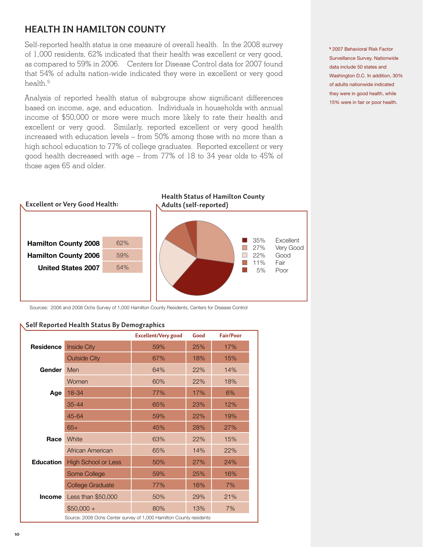### **HEALTH IN HAMILTON COUNTY**

Self-reported health status is one measure of overall health. In the 2008 survey of 1,000 residents, 62% indicated that their health was excellent or very good, as compared to 59% in 2006. Centers for Disease Control data for 2007 found that 54% of adults nation-wide indicated they were in excellent or very good health.<sup>9</sup>

Analysis of reported health status of subgroups show significant differences based on income, age, and education. Individuals in households with annual income of \$50,000 or more were much more likely to rate their health and excellent or very good. Similarly, reported excellent or very good health increased with education levels – from 50% among those with no more than a high school education to 77% of college graduates. Reported excellent or very good health decreased with age – from 77% of 18 to 34 year olds to 45% of those ages 65 and older.



Sources: 2006 and 2008 Ochs Survey of 1,000 Hamilton County Residents, Centers for Disease Control

#### **Self Reported Health Status By Demographics**

|                  |                                                                    | <b>Excellent/Very good</b> | Good | <b>Fair/Poor</b> |
|------------------|--------------------------------------------------------------------|----------------------------|------|------------------|
| <b>Residence</b> | <b>Inside City</b>                                                 | 59%                        | 25%  | 17%              |
|                  | <b>Outside City</b>                                                | 67%                        | 18%  | 15%              |
| Gender           | Men                                                                | 64%                        | 22%  | 14%              |
|                  | Women                                                              | 60%                        | 22%  | 18%              |
| Age              | 18-34                                                              | 77%                        | 17%  | 6%               |
|                  | $35 - 44$                                                          | 65%                        | 23%  | 12%              |
|                  | 45-64                                                              | 59%                        | 22%  | 19%              |
|                  | $65+$                                                              | 45%                        | 28%  | 27%              |
| Race             | White                                                              | 63%                        | 22%  | 15%              |
|                  | African American                                                   | 65%                        | 14%  | 22%              |
| <b>Education</b> | <b>High School or Less</b>                                         | 50%                        | 27%  | 24%              |
|                  | Some College                                                       | 59%                        | 25%  | 16%              |
|                  | College Graduate                                                   | 77%                        | 16%  | 7%               |
| <b>Income</b>    | Less than \$50,000                                                 | 50%                        | 29%  | 21%              |
|                  | $$50,000 +$                                                        | 80%                        | 13%  | 7%               |
|                  | Source: 2008 Ochs Center survey of 1,000 Hamilton County residents |                            |      |                  |

**9** 2007 Behavioral Risk Factor Surveillance Survey. Nationwide data include 50 states and Washington D.C. In addition, 30% of adults nationwide indicated they were in good health, while 15% were in fair or poor health.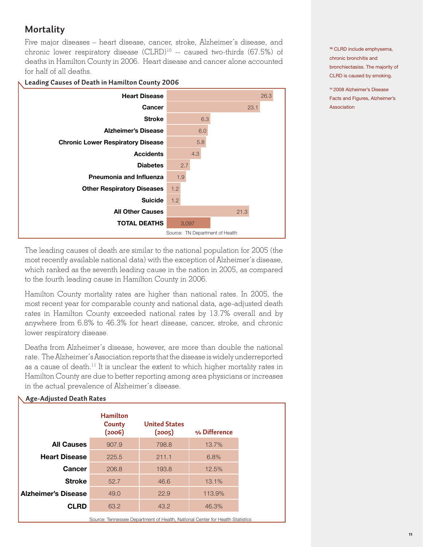# **Mortality**

Five major diseases – heart disease, cancer, stroke, Alzheimer's disease, and chronic lower respiratory disease (CLRD)<sup>10</sup> -- caused two-thirds (67.5%) of deaths in Hamilton County in 2006. Heart disease and cancer alone accounted for half of all deaths.

#### **Leading Causes of Death in Hamilton County 2006**



The leading causes of death are similar to the national population for 2005 (the most recently available national data) with the exception of Alzheimer's disease, which ranked as the seventh leading cause in the nation in 2005, as compared to the fourth leading cause in Hamilton County in 2006.

Hamilton County mortality rates are higher than national rates. In 2005, the most recent year for comparable county and national data, age-adjusted death rates in Hamilton County exceeded national rates by 13.7% overall and by anywhere from 6.8% to 46.3% for heart disease, cancer, stroke, and chronic lower respiratory disease.

Deaths from Alzheimer's disease, however, are more than double the national rate. The Alzheimer's Association reports that the disease is widely underreported as a cause of death.<sup>11</sup> It is unclear the extent to which higher mortality rates in Hamilton County are due to better reporting among area physicians or increases in the actual prevalence of Alzheimer's disease.

| <b>Age-Adjusted Death Rates</b> |                                     |                                                                               |              |  |
|---------------------------------|-------------------------------------|-------------------------------------------------------------------------------|--------------|--|
|                                 | <b>Hamilton</b><br>County<br>(2006) | <b>United States</b><br>(2005)                                                | % Difference |  |
| <b>All Causes</b>               | 907.9                               | 798.8                                                                         | 13.7%        |  |
| <b>Heart Disease</b>            | 225.5                               | 211.1                                                                         | 6.8%         |  |
| <b>Cancer</b>                   | 206.8                               | 193.8                                                                         | 12.5%        |  |
| <b>Stroke</b>                   | 52.7                                | 46.6                                                                          | 13.1%        |  |
| <b>Alzheimer's Disease</b>      | 49.0                                | 22.9                                                                          | 113.9%       |  |
| <b>CLRD</b>                     | 63.2                                | 43.2                                                                          | 46.3%        |  |
|                                 |                                     | Source: Tennessee Department of Health, National Center for Health Statistics |              |  |

**<sup>10</sup>** CLRD include emphysema, chronic bronchitis and bronchiectasiss. The majority of CLRD is caused by smoking.

**<sup>11</sup>**2008 Alzheimer's Disease Facts and Figures, Alzheimer's Association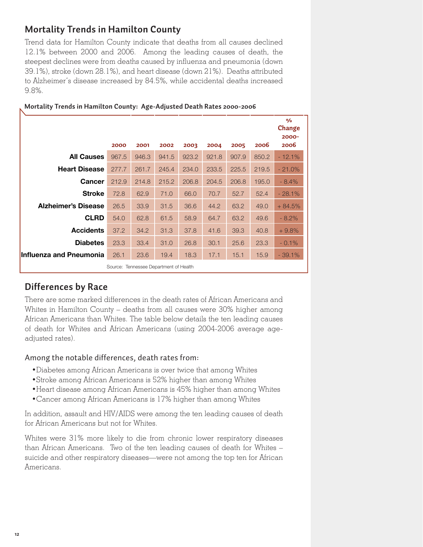### **Mortality Trends in Hamilton County**

Trend data for Hamilton County indicate that deaths from all causes declined 12.1% between 2000 and 2006. Among the leading causes of death, the steepest declines were from deaths caused by influenza and pneumonia (down 39.1%), stroke (down 28.1%), and heart disease (down 21%). Deaths attributed to Alzheimer's disease increased by 84.5%, while accidental deaths increased 9.8%.

|                            | 2000  | 2001                                   | 2002  | 2003  | 2004  | 2005  | 2006  | %<br>Change<br>$2000 -$<br>2006 |
|----------------------------|-------|----------------------------------------|-------|-------|-------|-------|-------|---------------------------------|
| <b>All Causes</b>          | 967.5 | 946.3                                  | 941.5 | 923.2 | 921.8 | 907.9 | 850.2 | $-12.1%$                        |
| <b>Heart Disease</b>       | 277.7 | 261.7                                  | 245.4 | 234.0 | 233.5 | 225.5 | 219.5 | $-21.0%$                        |
| Cancer                     | 212.9 | 214.8                                  | 215.2 | 206.8 | 204.5 | 206.8 | 195.0 | $-8.4%$                         |
| <b>Stroke</b>              | 72.8  | 62.9                                   | 71.0  | 66.0  | 70.7  | 52.7  | 52.4  | $-28.1%$                        |
| <b>Alzheimer's Disease</b> | 26.5  | 33.9                                   | 31.5  | 36.6  | 44.2  | 63.2  | 49.0  | $+84.5%$                        |
| <b>CLRD</b>                | 54.0  | 62.8                                   | 61.5  | 58.9  | 64.7  | 63.2  | 49.6  | $-8.2%$                         |
| <b>Accidents</b>           | 37.2  | 34.2                                   | 31.3  | 37.8  | 41.6  | 39.3  | 40.8  | $+9.8%$                         |
| <b>Diabetes</b>            | 23.3  | 33.4                                   | 31.0  | 26.8  | 30.1  | 25.6  | 23.3  | $-0.1%$                         |
| Influenza and Pneumonia    | 26.1  | 23.6                                   | 19.4  | 18.3  | 17.1  | 15.1  | 15.9  | $-39.1%$                        |
|                            |       | Source: Tennessee Department of Health |       |       |       |       |       |                                 |

#### **Mortality Trends in Hamilton County: Age-Adjusted Death Rates 2000-2006**

### **Differences by Race**

There are some marked differences in the death rates of African Americans and Whites in Hamilton County – deaths from all causes were 30% higher among African Americans than Whites. The table below details the ten leading causes of death for Whites and African Americans (using 2004-2006 average ageadjusted rates).

#### Among the notable differences, death rates from:

- •Diabetes among African Americans is over twice that among Whites
- •Stroke among African Americans is 52% higher than among Whites
- •Heart disease among African Americans is 45% higher than among Whites
- •Cancer among African Americans is 17% higher than among Whites

In addition, assault and HIV/AIDS were among the ten leading causes of death for African Americans but not for Whites.

Whites were 31% more likely to die from chronic lower respiratory diseases than African Americans. Two of the ten leading causes of death for Whites – suicide and other respiratory diseases—were not among the top ten for African Americans.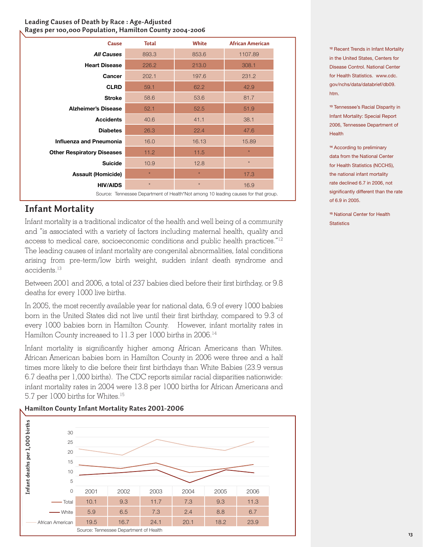#### **Leading Causes of Death by Race : Age-Adjusted Rages per 100,000 Population, Hamilton County 2004-2006**

| Cause                             | <b>Total</b> | <b>White</b> | <b>African American</b> |
|-----------------------------------|--------------|--------------|-------------------------|
| <b>All Causes</b>                 | 893.3        | 853.6        | 1107.89                 |
| <b>Heart Disease</b>              | 226.2        | 213.0        | 308.1                   |
| Cancer                            | 202.1        | 197.6        | 231.2                   |
| <b>CLRD</b>                       | 59.1         | 62.2         | 42.9                    |
| <b>Stroke</b>                     | 58.6         | 53.6         | 81.7                    |
| <b>Alzheimer's Disease</b>        | 52.1         | 52.5         | 51.9                    |
| <b>Accidents</b>                  | 40.6         | 41.1         | 38.1                    |
| <b>Diabetes</b>                   | 26.3         | 22.4         | 47.6                    |
| <b>Influenza and Pneumonia</b>    | 16.0         | 16.13        | 15.89                   |
| <b>Other Respiratory Diseases</b> | 11.2         | 11.5         | $\star$                 |
| <b>Suicide</b>                    | 10.9         | 12.8         | $\star$                 |
| <b>Assault (Homicide)</b>         | $\star$      | $\star$      | 17.3                    |
| <b>HIV/AIDS</b>                   | $\star$      | $\star$      | 16.9                    |

# **Infant Mortality**

Infant mortality is a traditional indicator of the health and well being of a community and "is associated with a variety of factors including maternal health, quality and access to medical care, socioeconomic conditions and public health practices."12 The leading causes of infant mortality are congenital abnormalities, fatal conditions arising from pre-term/low birth weight, sudden infant death syndrome and accidents.<sup>13</sup>

Between 2001 and 2006, a total of 237 babies died before their first birthday, or 9.8 deaths for every 1000 live births.

In 2005, the most recently available year for national data, 6.9 of every 1000 babies born in the United States did not live until their first birthday, compared to 9.3 of every 1000 babies born in Hamilton County. However, infant mortality rates in Hamilton County increased to 11.3 per 1000 births in 2006.<sup>14</sup>

Infant mortality is significantly higher among African Americans than Whites. African American babies born in Hamilton County in 2006 were three and a half times more likely to die before their first birthdays than White Babies (23.9 versus 6.7 deaths per 1,000 births). The CDC reports similar racial disparities nationwide: infant mortality rates in 2004 were 13.8 per 1000 births for African Americans and 5.7 per 1000 births for Whites.<sup>15</sup>



# **Hamilton County Infant Mortality Rates 2001-2006**

**<sup>12</sup>** Recent Trends in Infant Mortality in the United States, Centers for Disease Control. National Center for Health Statistics. www.cdc. gov/nchs/data/databrief/db09. htm.

**<sup>13</sup>** Tennessee's Racial Disparity in Infant Mortality: Special Report 2006, Tennessee Department of **Health** 

**<sup>14</sup>** According to preliminary data from the National Center for Health Statistics (NCCHS), the national infant mortality rate declined 6.7 in 2006, not significantly different than the rate of 6.9 in 2005.

**<sup>15</sup>** National Center for Health **Statistics**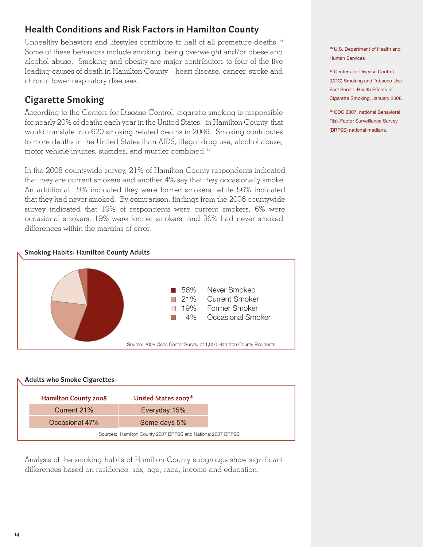# **Health Conditions and Risk Factors in Hamilton County**

Unhealthy behaviors and lifestyles contribute to half of all premature deaths.<sup>16</sup> Some of these behaviors include smoking, being overweight and/or obese and alcohol abuse. Smoking and obesity are major contributors to four of the five leading causes of death in Hamilton County – heart disease, cancer, stroke and chronic lower respiratory diseases.

## **Cigarette Smoking**

According to the Centers for Disease Control, cigarette smoking is responsible for nearly 20% of deaths each year in the United States: in Hamilton County, that would translate into 620 smoking related deaths in 2006. Smoking contributes to more deaths in the United States than AIDS, illegal drug use, alcohol abuse, motor vehicle injuries, suicides, and murder combined.<sup>17</sup>

In the 2008 countywide survey, 21% of Hamilton County respondents indicated that they are current smokers and another 4% say that they occasionally smoke. An additional 19% indicated they were former smokers, while 56% indicated that they had never smoked. By comparison, findings from the 2006 countywide survey indicated that 19% of respondents were current smokers, 6% were occasional smokers, 19% were former smokers, and 56% had never smoked, differences within the margins of error.





Analysis of the smoking habits of Hamilton County subgroups show significant differences based on residence, sex, age, race, income and education.

**<sup>16</sup>** U.S. Department of Health and Human Services

**<sup>17</sup>** Centers for Disease Control. (CDC) Smoking and Tobacco Use Fact Sheet: Health Effects of Cigarette Smoking, January 2008.

**<sup>18</sup>** CDC 2007, national Behavioral Risk Factor Surveillance Survey (BRFSS) national medians.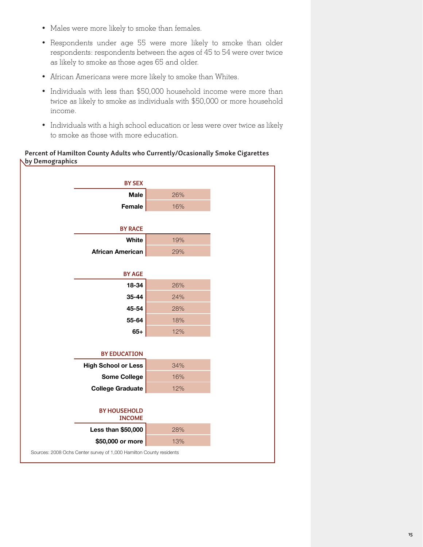- Males were more likely to smoke than females.
- Respondents under age 55 were more likely to smoke than older respondents: respondents between the ages of 45 to 54 were over twice as likely to smoke as those ages 65 and older.
- African Americans were more likely to smoke than Whites.
- Individuals with less than \$50,000 household income were more than twice as likely to smoke as individuals with \$50,000 or more household income.
- Individuals with a high school education or less were over twice as likely to smoke as those with more education.

#### **Percent of Hamilton County Adults who Currently/Ocasionally Smoke Cigarettes by Demographics**

| <b>BY SEX</b>                                                       |     |
|---------------------------------------------------------------------|-----|
| <b>Male</b>                                                         | 26% |
| Female                                                              | 16% |
|                                                                     |     |
| <b>BY RACE</b>                                                      |     |
| White                                                               | 19% |
| <b>African American</b>                                             | 29% |
|                                                                     |     |
| <b>BY AGE</b>                                                       |     |
| 18-34                                                               | 26% |
| 35-44                                                               | 24% |
| 45-54                                                               | 28% |
| 55-64                                                               | 18% |
| $65+$                                                               | 12% |
|                                                                     |     |
| <b>BY EDUCATION</b>                                                 |     |
| <b>High School or Less</b>                                          | 34% |
| <b>Some College</b>                                                 | 16% |
| <b>College Graduate</b>                                             | 12% |
|                                                                     |     |
| <b>BY HOUSEHOLD</b>                                                 |     |
| <b>INCOME</b>                                                       |     |
| Less than \$50,000                                                  | 28% |
| \$50,000 or more                                                    | 13% |
| Sources: 2008 Ochs Center survey of 1,000 Hamilton County residents |     |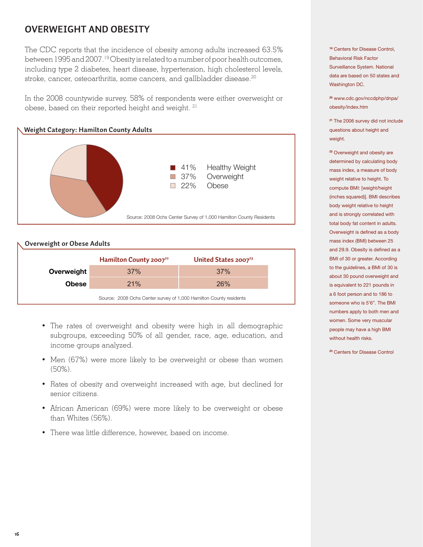# **Overweight and Obesity**

The CDC reports that the incidence of obesity among adults increased 63.5% between 1995 and 2007.19 Obesity is related to a number of poor health outcomes, including type 2 diabetes, heart disease, hypertension, high cholesterol levels, stroke, cancer, osteoarthritis, some cancers, and gallbladder disease.<sup>20</sup>

In the 2008 countywide survey, 58% of respondents were either overweight or obese, based on their reported height and weight. <sup>21</sup>



#### **Overweight or Obese Adults**

|            | Hamilton County 2007 <sup>22</sup>                                 | United States 2007 <sup>23</sup> |  |  |  |
|------------|--------------------------------------------------------------------|----------------------------------|--|--|--|
| Overweight | 37%                                                                | 37%                              |  |  |  |
| Obese      | 21%                                                                | <b>26%</b>                       |  |  |  |
|            | Source: 2008 Ochs Center survey of 1,000 Hamilton County residents |                                  |  |  |  |

- The rates of overweight and obesity were high in all demographic subgroups, exceeding 50% of all gender, race, age, education, and income groups analyzed.
- Men (67%) were more likely to be overweight or obese than women (50%).
- Rates of obesity and overweight increased with age, but declined for senior citizens.
- African American (69%) were more likely to be overweight or obese than Whites (56%).
- There was little difference, however, based on income.

**<sup>19</sup>** Centers for Disease Control, Behavioral Risk Factor Surveillance System. National data are based on 50 states and Washington DC.

**<sup>20</sup>** www.cdc.gov/nccdphp/dnpa/ obesity/index.htm

**<sup>21</sup>** The 2006 survey did not include questions about height and weight.

**<sup>22</sup>** Overweight and obesity are determined by calculating body mass index, a measure of body weight relative to height. To compute BMI: [weight/height (inches squared)]. BMI describes body weight relative to height and is strongly correlated with total body fat content in adults. Overweight is defined as a body mass index (BMI) between 25 and 29.9. Obesity is defined as a BMI of 30 or greater. According to the guidelines, a BMI of 30 is about 30 pound overweight and is equivalent to 221 pounds in a 6 foot person and to 186 to someone who is 5'6". The BMI numbers apply to both men and women. Some very muscular people may have a high BMI without health risks.

**<sup>23</sup>** Centers for Disease Control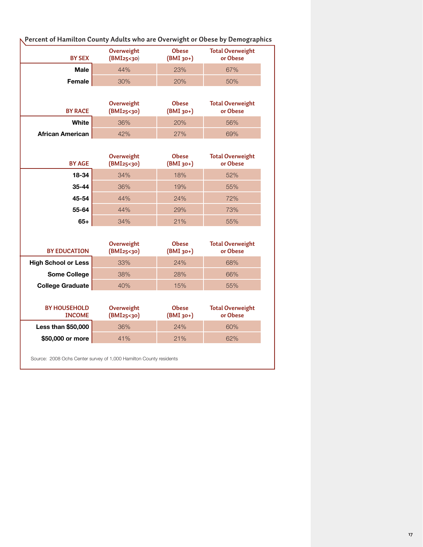| <b>BY SEX</b>                        | <b>Overweight</b><br>(BMI25<30) | <b>Obese</b><br>(BMI 30+)   | <b>Total Overweight</b><br>or Obese |
|--------------------------------------|---------------------------------|-----------------------------|-------------------------------------|
| <b>Male</b>                          | 44%                             | 23%                         | 67%                                 |
| Female                               | 30%                             | 20%                         | 50%                                 |
| <b>BY RACE</b>                       | Overweight<br>(BMI25<30)        | <b>Obese</b><br>(BMI 30+)   | <b>Total Overweight</b><br>or Obese |
| White                                | 36%                             | 20%                         | 56%                                 |
| <b>African American</b>              | 42%                             | 27%                         | 69%                                 |
| <b>BY AGE</b>                        | Overweight<br>(BMI25<30)        | <b>Obese</b><br>(BMI 30+)   | <b>Total Overweight</b><br>or Obese |
| 18-34                                | 34%                             | 18%                         | 52%                                 |
| 35-44                                | 36%                             | 19%                         | 55%                                 |
| 45-54                                | 44%                             | 24%                         | 72%                                 |
| 55-64                                | 44%                             | 29%                         | 73%                                 |
| $65+$                                | 34%                             | 21%                         | 55%                                 |
| <b>BY EDUCATION</b>                  | Overweight<br>(BMI25<30)        | <b>Obese</b><br>$(BMI$ 30+) | <b>Total Overweight</b><br>or Obese |
| <b>High School or Less</b>           | 33%                             | 24%                         | 68%                                 |
| <b>Some College</b>                  | 38%                             | 28%                         | 66%                                 |
| <b>College Graduate</b>              | 40%                             | 15%                         | 55%                                 |
| <b>BY HOUSEHOLD</b><br><b>INCOME</b> | Overweight<br>(BMI25<30)        | <b>Obese</b><br>$(BMI$ 30+) | <b>Total Overweight</b><br>or Obese |
|                                      | 36%                             | 24%                         | 60%                                 |
| Less than \$50,000                   |                                 |                             |                                     |

### **Percent of Hamilton County Adults who are Overwight or Obese by Demographics**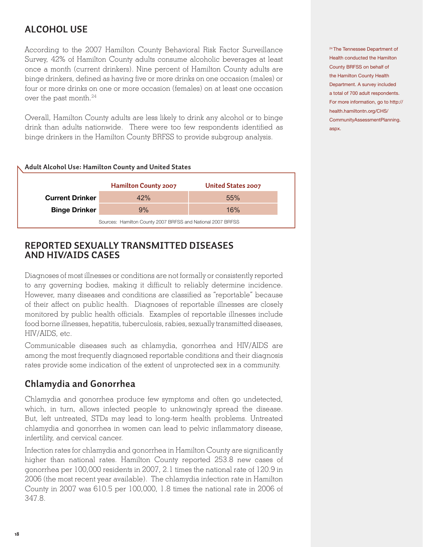# **Alcohol Use**

According to the 2007 Hamilton County Behavioral Risk Factor Surveillance Survey, 42% of Hamilton County adults consume alcoholic beverages at least once a month (current drinkers). Nine percent of Hamilton County adults are binge drinkers, defined as having five or more drinks on one occasion (males) or four or more drinks on one or more occasion (females) on at least one occasion over the past month.24

Overall, Hamilton County adults are less likely to drink any alcohol or to binge drink than adults nationwide. There were too few respondents identified as binge drinkers in the Hamilton County BRFSS to provide subgroup analysis.

| Adult Alcohol Use: Hamilton County and United States        |                             |                    |  |  |  |
|-------------------------------------------------------------|-----------------------------|--------------------|--|--|--|
|                                                             | <b>Hamilton County 2007</b> | United States 2007 |  |  |  |
| <b>Current Drinker</b>                                      | 42%                         | 55%                |  |  |  |
| <b>Binge Drinker</b>                                        | 9%                          | 16%                |  |  |  |
| Sources: Hamilton County 2007 BRFSS and National 2007 BRFSS |                             |                    |  |  |  |

### **Reported Sexually Transmitted Diseases and HIV/AIDS Cases**

Diagnoses of most illnesses or conditions are not formally or consistently reported to any governing bodies, making it difficult to reliably determine incidence. However, many diseases and conditions are classified as "reportable" because of their affect on public health. Diagnoses of reportable illnesses are closely monitored by public health officials. Examples of reportable illnesses include food borne illnesses, hepatitis, tuberculosis, rabies, sexually transmitted diseases, HIV/AIDS, etc.

Communicable diseases such as chlamydia, gonorrhea and HIV/AIDS are among the most frequently diagnosed reportable conditions and their diagnosis rates provide some indication of the extent of unprotected sex in a community.

### **Chlamydia and Gonorrhea**

Chlamydia and gonorrhea produce few symptoms and often go undetected, which, in turn, allows infected people to unknowingly spread the disease. But, left untreated, STDs may lead to long-term health problems. Untreated chlamydia and gonorrhea in women can lead to pelvic inflammatory disease, infertility, and cervical cancer.

Infection rates for chlamydia and gonorrhea in Hamilton County are significantly higher than national rates. Hamilton County reported 253.8 new cases of gonorrhea per 100,000 residents in 2007, 2.1 times the national rate of 120.9 in 2006 (the most recent year available). The chlamydia infection rate in Hamilton County in 2007 was 610.5 per 100,000, 1.8 times the national rate in 2006 of 347.8.

<sup>24</sup>The Tennessee Department of Health conducted the Hamilton County BRFSS on behalf of the Hamilton County Health Department. A survey included a total of 700 adult respondents. For more information, go to http:// health.hamiltontn.org/CHS/ CommunityAssessmentPlanning. aspx.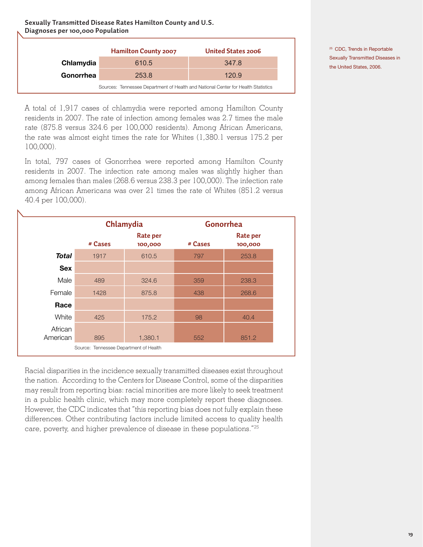**Sexually Transmitted Disease Rates Hamilton County and U.S. Diagnoses per 100,000 Population**

|           | <b>Hamilton County 2007</b>                                                       | United States 2006 |
|-----------|-----------------------------------------------------------------------------------|--------------------|
| Chlamydia | 610.5                                                                             | 347.8              |
| Gonorrhea | 253.8                                                                             | 120.9              |
|           | Sources: Tennessee Department of Health and National Center for Health Statistics |                    |

A total of 1,917 cases of chlamydia were reported among Hamilton County residents in 2007. The rate of infection among females was 2.7 times the male rate (875.8 versus 324.6 per 100,000 residents). Among African Americans, the rate was almost eight times the rate for Whites (1,380.1 versus 175.2 per 100,000).

In total, 797 cases of Gonorrhea were reported among Hamilton County residents in 2007. The infection rate among males was slightly higher than among females than males (268.6 versus 238.3 per 100,000). The infection rate among African Americans was over 21 times the rate of Whites (851.2 versus 40.4 per 100,000).

|                     | Chlamydia                              |                            | Gonorrhea |                     |  |
|---------------------|----------------------------------------|----------------------------|-----------|---------------------|--|
|                     | # Cases                                | <b>Rate per</b><br>100,000 | # Cases   | Rate per<br>100,000 |  |
| <b>Total</b>        | 1917                                   | 610.5                      | 797       | 253.8               |  |
| <b>Sex</b>          |                                        |                            |           |                     |  |
| Male                | 489                                    | 324.6                      | 359       | 238.3               |  |
| Female              | 1428                                   | 875.8                      | 438       | 268.6               |  |
| Race                |                                        |                            |           |                     |  |
| White               | 425                                    | 175.2                      | 98        | 40.4                |  |
| African<br>American | 895                                    | 1,380.1                    | 552       | 851.2               |  |
|                     | Source: Tennessee Department of Health |                            |           |                     |  |

Racial disparities in the incidence sexually transmitted diseases exist throughout the nation. According to the Centers for Disease Control, some of the disparities may result from reporting bias: racial minorities are more likely to seek treatment in a public health clinic, which may more completely report these diagnoses. However, the CDC indicates that "this reporting bias does not fully explain these differences. Other contributing factors include limited access to quality health care, poverty, and higher prevalence of disease in these populations."25

<sup>25</sup> CDC, Trends in Reportable Sexually Transmitted Diseases in the United States, 2006.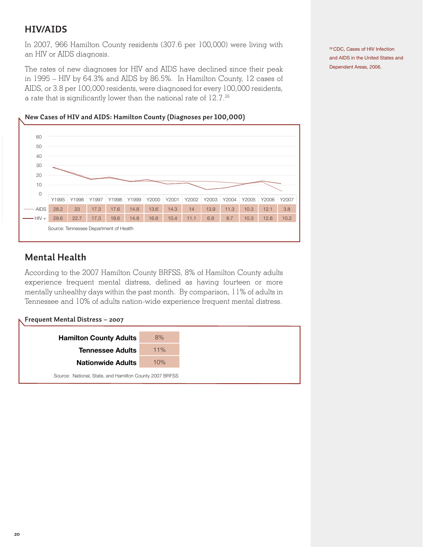### **HIV/AIDS**

In 2007, 966 Hamilton County residents (307.6 per 100,000) were living with an HIV or AIDS diagnosis.

The rates of new diagnoses for HIV and AIDS have declined since their peak in 1995 – HIV by 64.3% and AIDS by 86.5%. In Hamilton County, 12 cases of AIDS, or 3.8 per 100,000 residents, were diagnosed for every 100,000 residents, a rate that is significantly lower than the national rate of 12.7.26

26 CDC, Cases of HIV Infection and AIDS in the United States and Dependent Areas, 2006.

#### **New Cases of HIV and AIDS: Hamilton County (Diagnoses per 100,000)**



### **Mental Health**

According to the 2007 Hamilton County BRFSS, 8% of Hamilton County adults experience frequent mental distress, defined as having fourteen or more mentally unhealthy days within the past month. By comparison, 11% of adults in Tennessee and 10% of adults nation-wide experience frequent mental distress.

|  |  | Frequent Mental Distress – 2007 |  |
|--|--|---------------------------------|--|
|--|--|---------------------------------|--|

| <b>Hamilton County Adults</b>                           | 8%  |
|---------------------------------------------------------|-----|
| <b>Tennessee Adults</b>                                 | 11% |
| <b>Nationwide Adults</b>                                | 10% |
| Source: National, State, and Hamilton County 2007 BRFSS |     |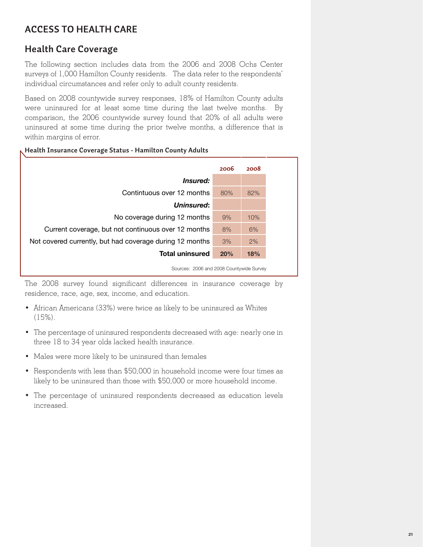# **Access to Health Care**

### **Health Care Coverage**

The following section includes data from the 2006 and 2008 Ochs Center surveys of 1,000 Hamilton County residents. The data refer to the respondents' individual circumstances and refer only to adult county residents.

Based on 2008 countywide survey responses, 18% of Hamilton County adults were uninsured for at least some time during the last twelve months. By comparison, the 2006 countywide survey found that 20% of all adults were uninsured at some time during the prior twelve months, a difference that is within margins of error.

#### **Health Insurance Coverage Status - Hamilton County Adults**

|                                                          | 2006 | 2008 |
|----------------------------------------------------------|------|------|
| <i>Insured:</i>                                          |      |      |
| Contintuous over 12 months                               | 80%  | 82%  |
| Uninsured:                                               |      |      |
| No coverage during 12 months                             | 9%   | 10%  |
| Current coverage, but not continuous over 12 months      | 8%   | 6%   |
| Not covered currently, but had coverage during 12 months | 3%   | 2%   |
| <b>Total uninsured</b>                                   | 20%  | 18%  |

Sources: 2006 and 2008 Countywide Survey

The 2008 survey found significant differences in insurance coverage by residence, race, age, sex, income, and education.

- African Americans (33%) were twice as likely to be uninsured as Whites (15%).
- The percentage of uninsured respondents decreased with age: nearly one in three 18 to 34 year olds lacked health insurance.
- Males were more likely to be uninsured than females
- Respondents with less than \$50,000 in household income were four times as likely to be uninsured than those with \$50,000 or more household income.
- The percentage of uninsured respondents decreased as education levels increased.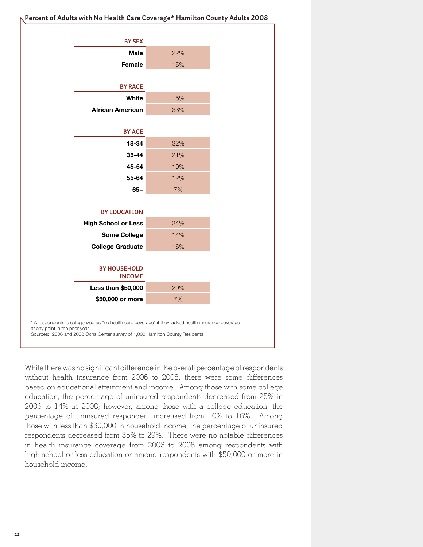| <b>BY SEX</b><br>22%<br><b>Male</b><br>15%<br>Female<br><b>BY RACE</b><br>15%<br>White<br><b>African American</b><br>33%<br><b>BY AGE</b><br>18-34<br>32%<br>21%<br>35-44<br>45-54<br>19%<br>55-64<br>12%<br>7%<br>$65+$<br><b>BY EDUCATION</b><br><b>High School or Less</b><br>24%<br><b>Some College</b><br>14% |
|--------------------------------------------------------------------------------------------------------------------------------------------------------------------------------------------------------------------------------------------------------------------------------------------------------------------|
|                                                                                                                                                                                                                                                                                                                    |
|                                                                                                                                                                                                                                                                                                                    |
|                                                                                                                                                                                                                                                                                                                    |
|                                                                                                                                                                                                                                                                                                                    |
|                                                                                                                                                                                                                                                                                                                    |
|                                                                                                                                                                                                                                                                                                                    |
|                                                                                                                                                                                                                                                                                                                    |
|                                                                                                                                                                                                                                                                                                                    |
|                                                                                                                                                                                                                                                                                                                    |
|                                                                                                                                                                                                                                                                                                                    |
|                                                                                                                                                                                                                                                                                                                    |
|                                                                                                                                                                                                                                                                                                                    |
|                                                                                                                                                                                                                                                                                                                    |
|                                                                                                                                                                                                                                                                                                                    |
|                                                                                                                                                                                                                                                                                                                    |
|                                                                                                                                                                                                                                                                                                                    |
|                                                                                                                                                                                                                                                                                                                    |
|                                                                                                                                                                                                                                                                                                                    |
| 16%<br><b>College Graduate</b>                                                                                                                                                                                                                                                                                     |
|                                                                                                                                                                                                                                                                                                                    |
| <b>BY HOUSEHOLD</b>                                                                                                                                                                                                                                                                                                |
| <b>INCOME</b>                                                                                                                                                                                                                                                                                                      |
| Less than \$50,000<br>29%                                                                                                                                                                                                                                                                                          |
| 7%<br>\$50,000 or more                                                                                                                                                                                                                                                                                             |

While there was no significant difference in the overall percentage of respondents without health insurance from 2006 to 2008, there were some differences based on educational attainment and income. Among those with some college education, the percentage of uninsured respondents decreased from 25% in 2006 to 14% in 2008; however, among those with a college education, the percentage of uninsured respondent increased from 10% to 16%. Among those with less than \$50,000 in household income, the percentage of uninsured respondents decreased from 35% to 29%. There were no notable differences in health insurance coverage from 2006 to 2008 among respondents with high school or less education or among respondents with \$50,000 or more in household income.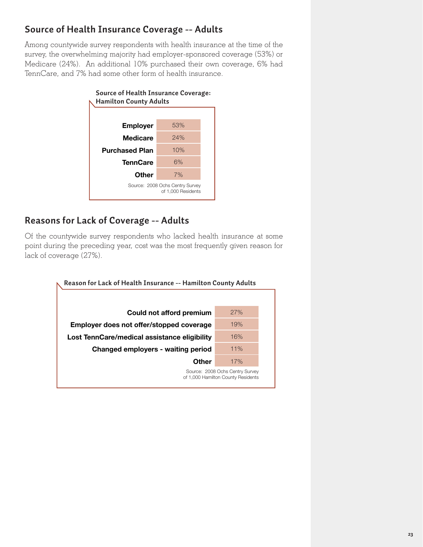# **Source of Health Insurance Coverage -- Adults**

Among countywide survey respondents with health insurance at the time of the survey, the overwhelming majority had employer-sponsored coverage (53%) or Medicare (24%). An additional 10% purchased their own coverage, 6% had TennCare, and 7% had some other form of health insurance.



### **Reasons for Lack of Coverage -- Adults**

Of the countywide survey respondents who lacked health insurance at some point during the preceding year, cost was the most frequently given reason for lack of coverage (27%).

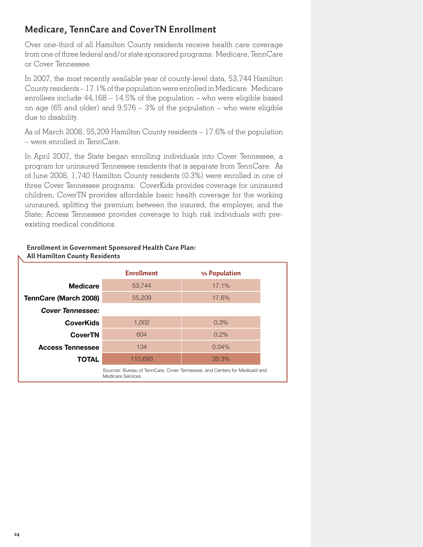### **Medicare, TennCare and CoverTN Enrollment**

Over one-third of all Hamilton County residents receive health care coverage from one of three federal and/or state sponsored programs: Medicare, TennCare or Cover Tennessee.

In 2007, the most recently available year of county-level data, 53,744 Hamilton County residents – 17.1% of the population were enrolled in Medicare. Medicare enrollees include 44,168 – 14.5% of the population – who were eligible based on age (65 and older) and 9,576 – 3% of the population – who were eligible due to disability.

As of March 2008, 55,209 Hamilton County residents – 17.6% of the population – were enrolled in TennCare.

In April 2007, the State began enrolling individuals into Cover Tennessee, a program for uninsured Tennessee residents that is separate from TennCare. As of June 2008, 1,740 Hamilton County residents (0.3%) were enrolled in one of three Cover Tennessee programs: CoverKids provides coverage for uninsured children; CoverTN provides affordable basic health coverage for the working uninsured, splitting the premium between the insured, the employer, and the State; Access Tennessee provides coverage to high risk individuals with preexisting medical conditions.

|                         | <b>Enrollment</b>                                                                               | % Population |  |
|-------------------------|-------------------------------------------------------------------------------------------------|--------------|--|
| <b>Medicare</b>         | 53,744                                                                                          | 17.1%        |  |
| TennCare (March 2008)   | 55,209                                                                                          | 17.6%        |  |
| <b>Cover Tennessee:</b> |                                                                                                 |              |  |
| <b>CoverKids</b>        | 1,002                                                                                           | 0.3%         |  |
| <b>CoverTN</b>          | 604                                                                                             | 0.2%         |  |
| <b>Access Tennessee</b> | 134                                                                                             | $0.04\%$     |  |
| <b>TOTAL</b>            | 110,693                                                                                         | 35.3%        |  |
|                         | Sources: Bureau of TennCare, Cover Tennessee, and Centers for Medicaid and<br>Medicare Services |              |  |

#### **Enrollment in Government Sponsored Health Care Plan: All Hamilton County Residents**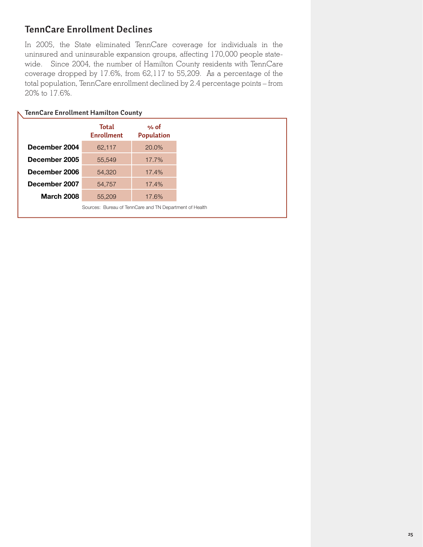## **TennCare Enrollment Declines**

In 2005, the State eliminated TennCare coverage for individuals in the uninsured and uninsurable expansion groups, affecting 170,000 people statewide. Since 2004, the number of Hamilton County residents with TennCare coverage dropped by 17.6%, from 62,117 to 55,209. As a percentage of the total population, TennCare enrollment declined by 2.4 percentage points – from 20% to 17.6%.

|                   | TennCare Enrollment Hamilton County                     |                           |  |  |  |
|-------------------|---------------------------------------------------------|---------------------------|--|--|--|
|                   | Total<br><b>Enrollment</b>                              | % of<br><b>Population</b> |  |  |  |
| December 2004     | 62,117                                                  | $20.0\%$                  |  |  |  |
| December 2005     | 55,549                                                  | $17.7\%$                  |  |  |  |
| December 2006     | 54,320                                                  | 17.4%                     |  |  |  |
| December 2007     | 54.757                                                  | 17.4%                     |  |  |  |
| <b>March 2008</b> | 55,209                                                  | 17.6%                     |  |  |  |
|                   | Sources: Bureau of TennCare and TN Department of Health |                           |  |  |  |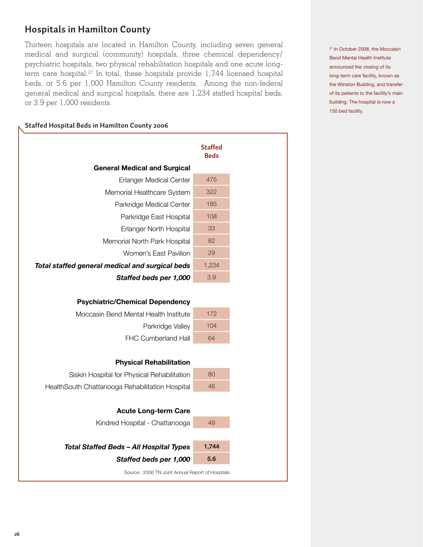## **Hospitals in Hamilton County**

Thirteen hospitals are located in Hamilton County, including seven general medical and surgical (community) hospitals, three chemical dependency/ psychiatric hospitals, two physical rehabilitation hospitals and one acute longterm care hospital.<sup>27</sup> In total, these hospitals provide 1,744 licensed hospital beds, or 5.6 per 1,000 Hamilton County residents. Among the non-federal general medical and surgical hospitals, there are 1,234 staffed hospital beds, or 3.9 per 1,000 residents.

#### **Staffed Hospital Beds in Hamilton County 2006**

|                                                  | <b>Staffed</b><br><b>Beds</b> |
|--------------------------------------------------|-------------------------------|
| <b>General Medical and Surgical</b>              |                               |
| <b>Erlanger Medical Center</b>                   | 475                           |
| Memorial Healthcare System                       | 322                           |
| Parkridge Medical Center                         | 185                           |
| Parkridge East Hospital                          | 108                           |
| Erlanger North Hospital                          | 33                            |
| Memorial North Park Hospital                     | 82                            |
| Women's East Pavilion                            | 29                            |
| Total staffed general medical and surgical beds  | 1,234                         |
| Staffed beds per 1,000                           | 3.9                           |
| <b>Psychiatric/Chemical Dependency</b>           |                               |
| Moccasin Bend Mental Health Institute            | 172                           |
| Parkridge Valley                                 | 104                           |
| FHC Cumberland Hall                              | 64                            |
| <b>Physical Rehabilitation</b>                   |                               |
| Siskin Hospital for Physical Rehabilitation      | 80                            |
| HealthSouth Chattanooga Rehabilitation Hospital  | 46                            |
| <b>Acute Long-term Care</b>                      |                               |
| Kindred Hospital - Chattanooga                   | 49                            |
|                                                  |                               |
| <b>Total Staffed Beds - All Hospital Types</b>   | 1,744                         |
| Staffed beds per 1,000                           | 5.6                           |
| Source: 2006 TN Joint Annual Report of Hospitals |                               |

<sup>27</sup> In October 2008, the Moccasin Bend Mental Health Institute announced the closing of its long-term care facility, known as the Winston Building, and transfer of its patients to the facility's main building. The hospital is now a 150 bed facility.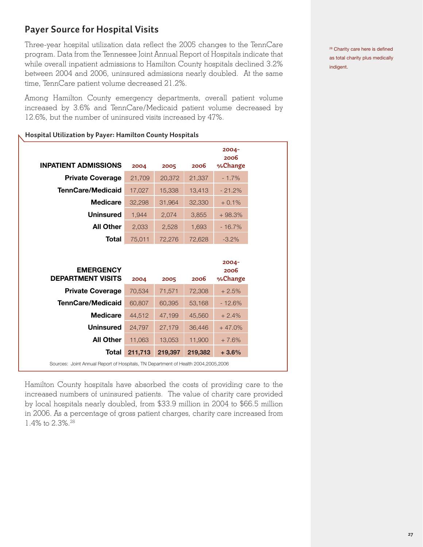# **Payer Source for Hospital Visits**

Three-year hospital utilization data reflect the 2005 changes to the TennCare program. Data from the Tennessee Joint Annual Report of Hospitals indicate that while overall inpatient admissions to Hamilton County hospitals declined 3.2% between 2004 and 2006, uninsured admissions nearly doubled. At the same time, TennCare patient volume decreased 21.2%.

Among Hamilton County emergency departments, overall patient volume increased by 3.6% and TennCare/Medicaid patient volume decreased by 12.6%, but the number of uninsured visits increased by 47%.

#### **Hospital Utilization by Payer: Hamilton County Hospitals**

|                             |        |        |        | $2004 -$<br>2006 |
|-----------------------------|--------|--------|--------|------------------|
| <b>INPATIENT ADMISSIONS</b> | 2004   | 2005   | 2006   | %Change          |
| <b>Private Coverage</b>     | 21,709 | 20,372 | 21,337 | $-1.7%$          |
| <b>TennCare/Medicaid</b>    | 17,027 | 15,338 | 13,413 | $-21.2%$         |
| <b>Medicare</b>             | 32,298 | 31,964 | 32,330 | $+0.1%$          |
| <b>Uninsured</b>            | 1,944  | 2,074  | 3,855  | $+98.3%$         |
| <b>All Other</b>            | 2,033  | 2,528  | 1,693  | $-16.7%$         |
| Total                       | 75,011 | 72,276 | 72,628 | $-3.2%$          |
|                             |        |        |        |                  |
|                             |        |        |        | $2004 -$         |
| <b>EMERGENCY</b>            |        |        |        | 2006             |
| <b>DEPARTMENT VISITS</b>    | 2004   | 2005   | 2006   | %Change          |
| <b>Private Coverage</b>     | 70.534 | 71.571 | 72.308 | $+2.5%$          |

| <b>Private Coverage</b>                                                             | 70,534  | 71,571  | 72,308  | $+2.5%$  |  |
|-------------------------------------------------------------------------------------|---------|---------|---------|----------|--|
| <b>TennCare/Medicaid</b>                                                            | 60,807  | 60,395  | 53,168  | $-12.6%$ |  |
| <b>Medicare</b>                                                                     | 44.512  | 47,199  | 45,560  | $+2.4%$  |  |
| <b>Uninsured</b>                                                                    | 24.797  | 27,179  | 36,446  | $+47.0%$ |  |
| <b>All Other</b>                                                                    | 11.063  | 13,053  | 11,900  | $+7.6%$  |  |
| Total                                                                               | 211,713 | 219,397 | 219,382 | $+3.6%$  |  |
| Sources: Joint Annual Report of Hospitals, TN Department of Health 2004, 2005, 2006 |         |         |         |          |  |

Hamilton County hospitals have absorbed the costs of providing care to the increased numbers of uninsured patients. The value of charity care provided by local hospitals nearly doubled, from \$33.9 million in 2004 to \$66.5 million in 2006. As a percentage of gross patient charges, charity care increased from 1.4% to 2.3%.<sup>28</sup>

<sup>28</sup> Charity care here is defined as total charity plus medically indigent.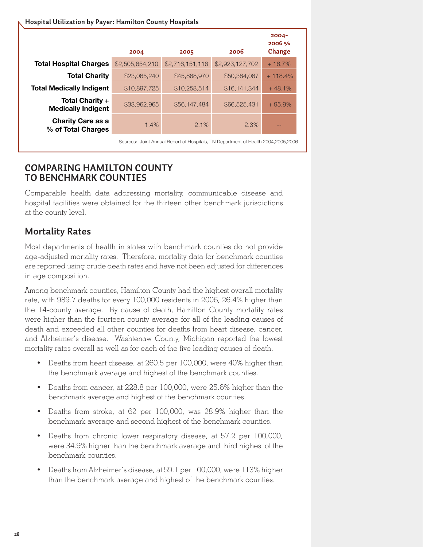| Hospital Utilization by Payer: Hamilton County Hospitals |                 |                 |                 |                              |  |  |  |
|----------------------------------------------------------|-----------------|-----------------|-----------------|------------------------------|--|--|--|
|                                                          | 2004            | 2005            | 2006            | $2004 -$<br>2006 %<br>Change |  |  |  |
| <b>Total Hospital Charges</b>                            | \$2,505,654,210 | \$2,716,151,116 | \$2,923,127,702 | $+16.7%$                     |  |  |  |
| <b>Total Charity</b>                                     | \$23,065,240    | \$45,888,970    | \$50,384,087    | $+118.4%$                    |  |  |  |
| <b>Total Medically Indigent</b>                          | \$10,897,725    | \$10,258,514    | \$16,141,344    | $+48.1%$                     |  |  |  |
| Total Charity +<br><b>Medically Indigent</b>             | \$33,962,965    | \$56,147,484    | \$66,525,431    | $+95.9%$                     |  |  |  |
| <b>Charity Care as a</b><br>% of Total Charges           | 1.4%            | 2.1%            | 2.3%            |                              |  |  |  |
|                                                          |                 |                 |                 |                              |  |  |  |

Sources: Joint Annual Report of Hospitals, TN Department of Health 2004,2005,2006

### **COMPARING HAMILTON COUNTY TO BENCHMARK COUNTIES**

Comparable health data addressing mortality, communicable disease and hospital facilities were obtained for the thirteen other benchmark jurisdictions at the county level.

# **Mortality Rates**

Most departments of health in states with benchmark counties do not provide age-adjusted mortality rates. Therefore, mortality data for benchmark counties are reported using crude death rates and have not been adjusted for differences in age composition.

Among benchmark counties, Hamilton County had the highest overall mortality rate, with 989.7 deaths for every 100,000 residents in 2006, 26.4% higher than the 14-county average. By cause of death, Hamilton County mortality rates were higher than the fourteen county average for all of the leading causes of death and exceeded all other counties for deaths from heart disease, cancer, and Alzheimer's disease. Washtenaw County, Michigan reported the lowest mortality rates overall as well as for each of the five leading causes of death.

- Deaths from heart disease, at 260.5 per 100,000, were 40% higher than the benchmark average and highest of the benchmark counties.
- Deaths from cancer, at 228.8 per 100,000, were 25.6% higher than the benchmark average and highest of the benchmark counties.
- Deaths from stroke, at 62 per 100,000, was 28.9% higher than the benchmark average and second highest of the benchmark counties.
- Deaths from chronic lower respiratory disease, at 57.2 per 100,000, were 34.9% higher than the benchmark average and third highest of the benchmark counties.
- Deaths from Alzheimer's disease, at 59.1 per 100,000, were 113% higher than the benchmark average and highest of the benchmark counties.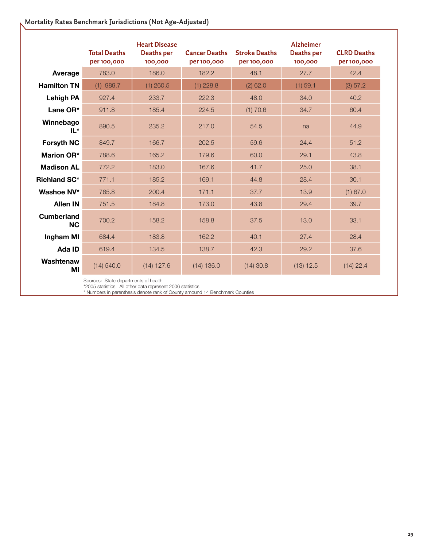#### **Mortality Rates Benchmark Jurisdictions (Not Age-Adjusted)**

|                                | <b>Total Deaths</b><br>per 100,000 | <b>Heart Disease</b><br>Deaths per<br>100,000 | <b>Cancer Deaths</b><br>per 100,000 | <b>Stroke Deaths</b><br>per 100,000 | <b>Alzheimer</b><br><b>Deaths per</b><br>100,000 | <b>CLRD Deaths</b><br>per 100,000 |
|--------------------------------|------------------------------------|-----------------------------------------------|-------------------------------------|-------------------------------------|--------------------------------------------------|-----------------------------------|
| Average                        | 783.0                              | 186.0                                         | 182.2                               | 48.1                                | 27.7                                             | 42.4                              |
| <b>Hamilton TN</b>             | $(1)$ 989.7                        | $(1)$ 260.5                                   | $(1)$ 228.8                         | $(2)$ 62.0                          | (1) 59.1                                         | (3) 57.2                          |
| <b>Lehigh PA</b>               | 927.4                              | 233.7                                         | 222.3                               | 48.0                                | 34.0                                             | 40.2                              |
| Lane OR*                       | 911.8                              | 185.4                                         | 224.5                               | (1) 70.6                            | 34.7                                             | 60.4                              |
| Winnebago<br>$IL^*$            | 890.5                              | 235.2                                         | 217.0                               | 54.5                                | na                                               | 44.9                              |
| <b>Forsyth NC</b>              | 849.7                              | 166.7                                         | 202.5                               | 59.6                                | 24.4                                             | 51.2                              |
| <b>Marion OR*</b>              | 788.6                              | 165.2                                         | 179.6                               | 60.0                                | 29.1                                             | 43.8                              |
| <b>Madison AL</b>              | 772.2                              | 183.0                                         | 167.6                               | 41.7                                | 25.0                                             | 38.1                              |
| <b>Richland SC*</b>            | 771.1                              | 185.2                                         | 169.1                               | 44.8                                | 28.4                                             | 30.1                              |
| Washoe NV*                     | 765.8                              | 200.4                                         | 171.1                               | 37.7                                | 13.9                                             | $(1)$ 67.0                        |
| <b>Allen IN</b>                | 751.5                              | 184.8                                         | 173.0                               | 43.8                                | 29.4                                             | 39.7                              |
| <b>Cumberland</b><br><b>NC</b> | 700.2                              | 158.2                                         | 158.8                               | 37.5                                | 13.0                                             | 33.1                              |
| Ingham MI                      | 684.4                              | 183.8                                         | 162.2                               | 40.1                                | 27.4                                             | 28.4                              |
| Ada ID                         | 619.4                              | 134.5                                         | 138.7                               | 42.3                                | 29.2                                             | 37.6                              |
| Washtenaw<br>ΜI                | (14) 540.0                         | $(14)$ 127.6                                  | (14) 136.0                          | $(14)$ 30.8                         | $(13)$ 12.5                                      | $(14)$ 22.4                       |

Sources: State departments of health

\*2005 statistics. All other data represent 2006 statistics

\* Numbers in parenthesis denote rank of County amound 14 Benchmark Counties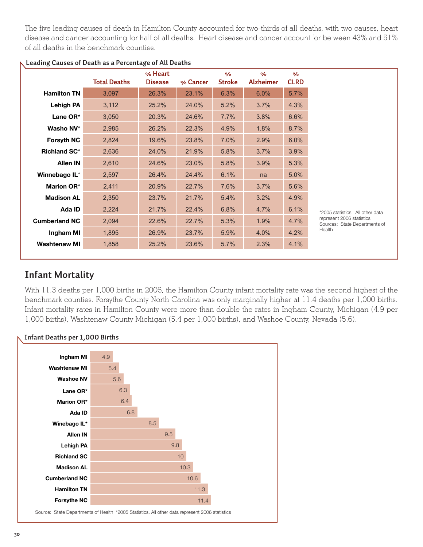The five leading causes of death in Hamilton County accounted for two-thirds of all deaths, with two causes, heart disease and cancer accounting for half of all deaths. Heart disease and cancer account for between 43% and 51% of all deaths in the benchmark counties.

|                      | <b>Total Deaths</b> | % Heart<br><b>Disease</b> | % Cancer | $\frac{0}{2}$<br><b>Stroke</b> | $\frac{0}{0}$<br><b>Alzheimer</b> | $\frac{0}{0}$<br><b>CLRD</b> |                                                                      |
|----------------------|---------------------|---------------------------|----------|--------------------------------|-----------------------------------|------------------------------|----------------------------------------------------------------------|
| <b>Hamilton TN</b>   | 3,097               | 26.3%                     | 23.1%    | 6.3%                           | 6.0%                              | 5.7%                         |                                                                      |
| <b>Lehigh PA</b>     | 3,112               | 25.2%                     | 24.0%    | 5.2%                           | 3.7%                              | 4.3%                         |                                                                      |
| Lane OR*             | 3,050               | 20.3%                     | 24.6%    | 7.7%                           | 3.8%                              | 6.6%                         |                                                                      |
| Washo NV*            | 2,985               | 26.2%                     | 22.3%    | 4.9%                           | 1.8%                              | 8.7%                         |                                                                      |
| <b>Forsyth NC</b>    | 2,824               | 19.6%                     | 23.8%    | 7.0%                           | 2.9%                              | 6.0%                         |                                                                      |
| <b>Richland SC*</b>  | 2,636               | 24.0%                     | 21.9%    | 5.8%                           | 3.7%                              | 3.9%                         |                                                                      |
| <b>Allen IN</b>      | 2,610               | 24.6%                     | 23.0%    | 5.8%                           | 3.9%                              | 5.3%                         |                                                                      |
| Winnebago IL*        | 2,597               | 26.4%                     | 24.4%    | 6.1%                           | na                                | 5.0%                         |                                                                      |
| <b>Marion OR*</b>    | 2,411               | 20.9%                     | 22.7%    | 7.6%                           | 3.7%                              | 5.6%                         |                                                                      |
| <b>Madison AL</b>    | 2,350               | 23.7%                     | 21.7%    | 5.4%                           | 3.2%                              | 4.9%                         |                                                                      |
| Ada ID               | 2,224               | 21.7%                     | 22.4%    | 6.8%                           | 4.7%                              | 6.1%                         | *2005 statistics. All other data                                     |
| <b>Cumberland NC</b> | 2,094               | 22.6%                     | 22.7%    | 5.3%                           | 1.9%                              | 4.7%                         | represent 2006 statistics<br>Sources: State Departments of<br>Health |
| Ingham MI            | 1,895               | 26.9%                     | 23.7%    | 5.9%                           | 4.0%                              | 4.2%                         |                                                                      |
| <b>Washtenaw MI</b>  | 1,858               | 25.2%                     | 23.6%    | 5.7%                           | 2.3%                              | 4.1%                         |                                                                      |

#### **Leading Causes of Death as a Percentage of All Deaths**

### **Infant Mortality**

With 11.3 deaths per 1,000 births in 2006, the Hamilton County infant mortality rate was the second highest of the benchmark counties. Forsythe County North Carolina was only marginally higher at 11.4 deaths per 1,000 births. Infant mortality rates in Hamilton County were more than double the rates in Ingham County, Michigan (4.9 per 1,000 births), Washtenaw County Michigan (5.4 per 1,000 births), and Washoe County, Nevada (5.6).



#### **Infant Deaths per 1,000 Births**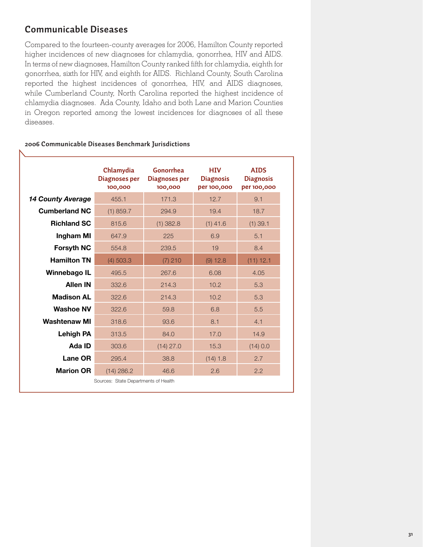### **Communicable Diseases**

Compared to the fourteen-county averages for 2006, Hamilton County reported higher incidences of new diagnoses for chlamydia, gonorrhea, HIV and AIDS. In terms of new diagnoses, Hamilton County ranked fifth for chlamydia, eighth for gonorrhea, sixth for HIV, and eighth for AIDS. Richland County, South Carolina reported the highest incidences of gonorrhea, HIV, and AIDS diagnoses, while Cumberland County, North Carolina reported the highest incidence of chlamydia diagnoses. Ada County, Idaho and both Lane and Marion Counties in Oregon reported among the lowest incidences for diagnoses of all these diseases.

|                          | Chlamydia<br><b>Diagnoses per</b><br>100,000 | Gonorrhea<br>Diagnoses per<br>100,000 | <b>HTV</b><br><b>Diagnosis</b><br>per 100,000 | <b>AIDS</b><br><b>Diagnosis</b><br>per 100,000 |
|--------------------------|----------------------------------------------|---------------------------------------|-----------------------------------------------|------------------------------------------------|
| <b>14 County Average</b> | 455.1                                        | 171.3                                 | 12.7                                          | 9.1                                            |
| <b>Cumberland NC</b>     | $(1)$ 859.7                                  | 294.9                                 | 19.4                                          | 18.7                                           |
| <b>Richland SC</b>       | 815.6                                        | $(1)$ 382.8                           | $(1)$ 41.6                                    | $(1)$ 39.1                                     |
| Ingham MI                | 647.9                                        | 225                                   | 6.9                                           | 5.1                                            |
| <b>Forsyth NC</b>        | 554.8                                        | 239.5                                 | 19                                            | 8.4                                            |
| <b>Hamilton TN</b>       | $(4)$ 503.3                                  | $(7)$ 210                             | $(9)$ 12.8                                    | (11) 12.1                                      |
| Winnebago IL             | 495.5                                        | 267.6                                 | 6.08                                          | 4.05                                           |
| <b>Allen IN</b>          | 332.6                                        | 214.3                                 | 10.2                                          | 5.3                                            |
| <b>Madison AL</b>        | 322.6                                        | 214.3                                 | 10.2                                          | 5.3                                            |
| <b>Washoe NV</b>         | 322.6                                        | 59.8                                  | 6.8                                           | 5.5                                            |
| <b>Washtenaw MI</b>      | 318.6                                        | 93.6                                  | 8.1                                           | 4.1                                            |
| <b>Lehigh PA</b>         | 313.5                                        | 84.0                                  | 17.0                                          | 14.9                                           |
| Ada ID                   | 303.6                                        | $(14)$ 27.0                           | 15.3                                          | (14) 0.0                                       |
| Lane OR                  | 295.4                                        | 38.8                                  | (14) 1.8                                      | 2.7                                            |
| <b>Marion OR</b>         | $(14)$ 286.2                                 | 46.6                                  | 2.6                                           | 2.2                                            |

#### **2006 Communicable Diseases Benchmark Jurisdictions**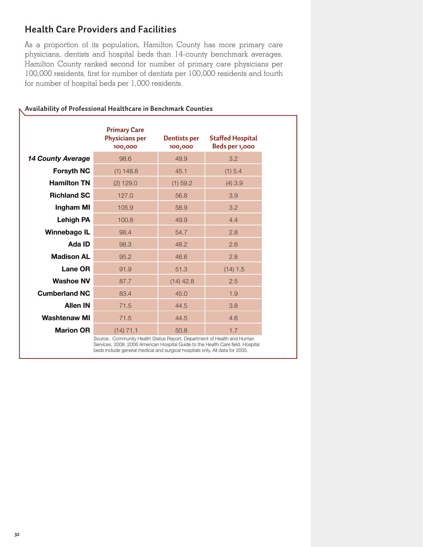### **Health Care Providers and Facilities**

As a proportion of its population, Hamilton County has more primary care physicians, dentists and hospital beds than 14-county benchmark averages. Hamilton County ranked second for number of primary care physicians per 100,000 residents, first for number of dentists per 100,000 residents and fourth for number of hospital beds per 1,000 residents.

|                          | <b>Primary Care</b><br><b>Physicians per</b><br>100,000 | Dentists per<br>100,000 | <b>Staffed Hospital</b><br>Beds per 1,000 |
|--------------------------|---------------------------------------------------------|-------------------------|-------------------------------------------|
| <b>14 County Average</b> | 98.6                                                    | 49.9                    | 3.2                                       |
| <b>Forsyth NC</b>        | $(1)$ 148.8                                             | 45.1                    | (1) 5.4                                   |
| <b>Hamilton TN</b>       | $(2)$ 129.0                                             | (1) 59.2                | $(4)$ 3.9                                 |
| <b>Richland SC</b>       | 127.0                                                   | 56.8                    | 3.9                                       |
| Ingham MI                | 105.9                                                   | 58.9                    | 3.2                                       |
| <b>Lehigh PA</b>         | 100.8                                                   | 49.9                    | 4.4                                       |
| Winnebago IL             | 98.4                                                    | 54.7                    | 2.8                                       |
| Ada ID                   | 98.3                                                    | 48.2                    | 2.6                                       |
| <b>Madison AL</b>        | 95.2                                                    | 46.6                    | 2.8                                       |
| <b>Lane OR</b>           | 91.9                                                    | 51.3                    | (14) 1.5                                  |
| <b>Washoe NV</b>         | 87.7                                                    | $(14)$ 42.8             | 2.5                                       |
| <b>Cumberland NC</b>     | 83.4                                                    | 45.0                    | 1.9                                       |
| <b>Allen IN</b>          | 71.5                                                    | 44.5                    | 3.8                                       |
| <b>Washtenaw MI</b>      | 71.5                                                    | 44.5                    | 4.6                                       |
| <b>Marion OR</b>         | $(14)$ 71.1                                             | 50.8                    | 1.7                                       |

#### **Availability of Professional Healthcare in Benchmark Counties**

Services, 2008. 2006 American Hospital Guide to the Health Care field. Hospital beds include general medical and surgical hospitals only. All data for 2005.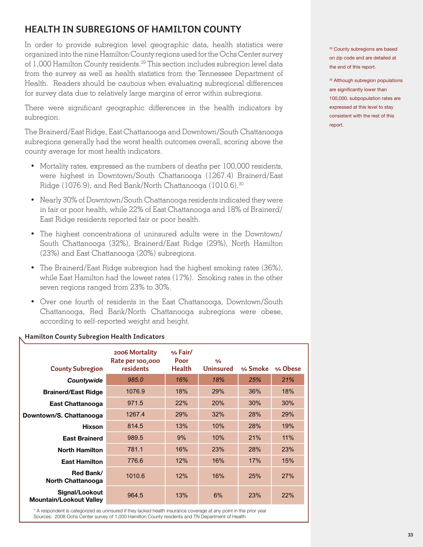# **HEALTH IN SUBREGIONS OF HAMILTON COUNTY**

In order to provide subregion level geographic data, health statistics were organized into the nine Hamilton County regions used for the Ochs Center survey of 1,000 Hamilton County residents.<sup>29</sup> This section includes subregion level data from the survey as well as health statistics from the Tennessee Department of Health. Readers should be cautious when evaluating subregional differences for survey data due to relatively large margins of error within subregions.

There were significant geographic differences in the health indicators by subregion.

The Brainerd/East Ridge, East Chattanooga and Downtown/South Chattanooga subregions generally had the worst health outcomes overall, scoring above the county average for most health indicators.

- Mortality rates, expressed as the numbers of deaths per 100,000 residents, were highest in Downtown/South Chattanooga (1267.4) Brainerd/East Ridge (1076.9), and Red Bank/North Chattanooga (1010.6).30
- Nearly 30% of Downtown/South Chattanooga residents indicated they were in fair or poor health, while 22% of East Chattanooga and 18% of Brainerd/ East Ridge residents reported fair or poor health.
- The highest concentrations of uninsured adults were in the Downtown/ South Chattanooga (32%), Brainerd/East Ridge (29%), North Hamilton (23%) and East Chattanooga (20%) subregions.
- The Brainerd/East Ridge subregion had the highest smoking rates (36%), while East Hamilton had the lowest rates (17%). Smoking rates in the other seven regions ranged from 23% to 30%.
- Over one fourth of residents in the East Chattanooga, Downtown/South Chattanooga, Red Bank/North Chattanooga subregions were obese, according to self-reported weight and height.

| <b>County Subregion</b>                          | 2006 Mortality<br>Rate per 100,000<br>residents | % Fair/<br>Poor<br><b>Health</b> | $\frac{1}{2}$<br><b>Uninsured</b> | % Smoke | % Obese |
|--------------------------------------------------|-------------------------------------------------|----------------------------------|-----------------------------------|---------|---------|
| Countywide                                       | 985.0                                           | 16%                              | 18%                               | 25%     | 21%     |
| <b>Brainerd/East Ridge</b>                       | 1076.9                                          | 18%                              | 29%                               | 36%     | 18%     |
| East Chattanooga                                 | 971.5                                           | 22%                              | 20%                               | 30%     | 30%     |
| Downtown/S. Chattanooga                          | 1267.4                                          | 29%                              | 32%                               | 28%     | 29%     |
| <b>Hixson</b>                                    | 814.5                                           | 13%                              | 10%                               | 28%     | 19%     |
| <b>East Brainerd</b>                             | 989.5                                           | 9%                               | 10%                               | 21%     | 11%     |
| <b>North Hamilton</b>                            | 781.1                                           | 16%                              | 23%                               | 28%     | 23%     |
| <b>East Hamilton</b>                             | 776.6                                           | 12%                              | 16%                               | 17%     | 15%     |
| Red Bank/<br>North Chattanooga                   | 1010.6                                          | 12%                              | 16%                               | 25%     | 27%     |
| Signal/Lookout<br><b>Mountain/Lookout Valley</b> | 964.5                                           | 13%                              | 6%                                | 23%     | 22%     |

#### **Hamilton County Subregion Health Indicators**

\* A respondent is categorized as uninsured if they lacked health insurance coverage at any point in the prior year Sources: 2008 Ochs Center survey of 1,000 Hamilton County residents and TN Department of Health

29 County subregions are based on zip code and are detailed at the end of this report.

<sup>30</sup> Although subregion populations are significantly lower than 100,000, subpopulation rates are expressed at this level to stay consistent with the rest of this report.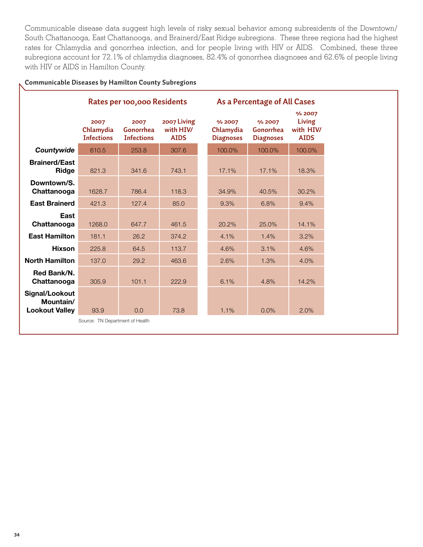Communicable disease data suggest high levels of risky sexual behavior among subresidents of the Downtown/ South Chattanooga, East Chattanooga, and Brainerd/East Ridge subregions. These three regions had the highest rates for Chlamydia and gonorrhea infection, and for people living with HIV or AIDS. Combined, these three subregions account for 72.1% of chlamydia diagnoses, 82.4% of gonorrhea diagnoses and 62.6% of people living with HIV or AIDS in Hamilton County.

#### **Communicable Diseases by Hamilton County Subregions**

|                                                      | Rates per 100,000 Residents            |                                        |                                        | As a Percentage of All Cases            |                                         |                                              |  |  |
|------------------------------------------------------|----------------------------------------|----------------------------------------|----------------------------------------|-----------------------------------------|-----------------------------------------|----------------------------------------------|--|--|
|                                                      | 2007<br>Chlamydia<br><b>Infections</b> | 2007<br>Gonorrhea<br><b>Infections</b> | 2007 Living<br>with HIW<br><b>AIDS</b> | % 2007<br>Chlamydia<br><b>Diagnoses</b> | % 2007<br>Gonorrhea<br><b>Diagnoses</b> | % 2007<br>Living<br>with HIV/<br><b>AIDS</b> |  |  |
| Countywide                                           | 610.5                                  | 253.8                                  | 307.6                                  | 100.0%                                  | 100.0%                                  | 100.0%                                       |  |  |
| <b>Brainerd/East</b><br>Ridge                        | 821.3                                  | 341.6                                  | 743.1                                  | 17.1%                                   | 17.1%                                   | 18.3%                                        |  |  |
| Downtown/S.<br>Chattanooga                           | 1628.7                                 | 786.4                                  | 118.3                                  | 34.9%                                   | 40.5%                                   | 30.2%                                        |  |  |
| <b>East Brainerd</b>                                 | 421.3                                  | 127.4                                  | 85.0                                   | 9.3%                                    | 6.8%                                    | 9.4%                                         |  |  |
| East<br>Chattanooga                                  | 1268.0                                 | 647.7                                  | 461.5                                  | 20.2%                                   | 25.0%                                   | 14.1%                                        |  |  |
| <b>East Hamilton</b>                                 | 181.1                                  | 26.2                                   | 374.2                                  | 4.1%                                    | 1.4%                                    | 3.2%                                         |  |  |
| <b>Hixson</b>                                        | 225.8                                  | 64.5                                   | 113.7                                  | 4.6%                                    | 3.1%                                    | 4.6%                                         |  |  |
| <b>North Hamilton</b>                                | 137.0                                  | 29.2                                   | 463.6                                  | 2.6%                                    | 1.3%                                    | 4.0%                                         |  |  |
| Red Bank/N.<br>Chattanooga                           | 305.9                                  | 101.1                                  | 222.9                                  | 6.1%                                    | 4.8%                                    | 14.2%                                        |  |  |
| Signal/Lookout<br>Mountain/<br><b>Lookout Valley</b> | 93.9                                   | 0.0                                    | 73.8                                   | 1.1%                                    | 0.0%                                    | 2.0%                                         |  |  |
|                                                      | Source: TN Department of Health        |                                        |                                        |                                         |                                         |                                              |  |  |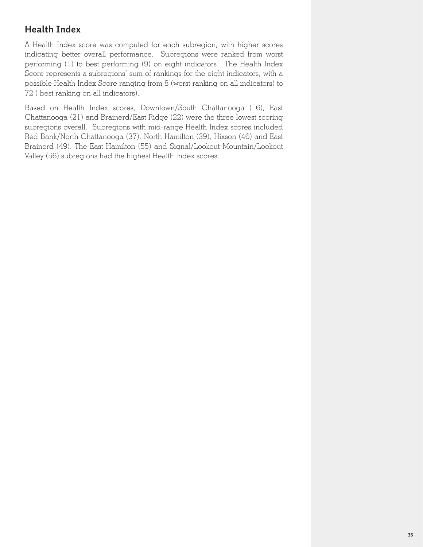# **Health Index**

A Health Index score was computed for each subregion, with higher scores indicating better overall performance. Subregions were ranked from worst performing (1) to best performing (9) on eight indicators. The Health Index Score represents a subregions' sum of rankings for the eight indicators, with a possible Health Index Score ranging from 8 (worst ranking on all indicators) to 72 ( best ranking on all indicators).

Based on Health Index scores, Downtown/South Chattanooga (16), East Chattanooga (21) and Brainerd/East Ridge (22) were the three lowest scoring subregions overall. Subregions with mid-range Health Index scores included Red Bank/North Chattanooga (37), North Hamilton (39), Hixson (46) and East Brainerd (49). The East Hamilton (55) and Signal/Lookout Mountain/Lookout Valley (56) subregions had the highest Health Index scores.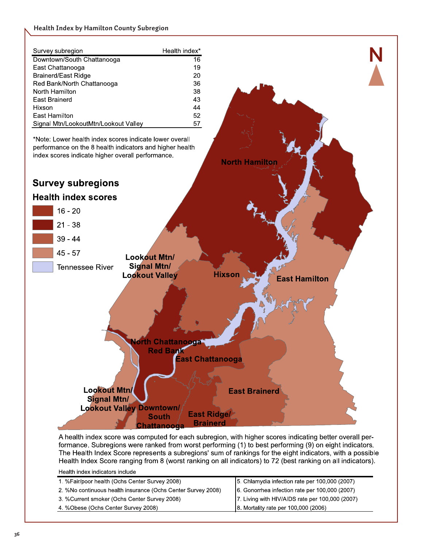#### **Health Index by Hamilton County Subregion**

| Survey subregion                     | Health index* |
|--------------------------------------|---------------|
| Downtown/South Chattanooga           | 16            |
| East Chattanooga                     | 19            |
| Brainerd/East Ridge                  | 20            |
| Red Bank/North Chattanooga           | 36            |
| North Hamilton                       | 38            |
| East Brainerd                        | 43            |
| Hixson                               | 44            |
| East Hamilton                        | 52            |
| Signal Mtn/LookoutMtn/Lookout Valley | 57            |

\*Note: Lower health index scores indicate lower overall performance on the 8 health indicators and higher health index scores indicate higher overall performance.





**North Hamilton** 

**N**

A health index score was computed for each subregion, with higher scores indicating better overall performance. Subregions were ranked from worst performing (1) to best performing (9) on eight indicators. The Health Index Score represents a subregions' sum of rankings for the eight indicators, with a possible Health Index Score ranging from 8 (worst ranking on all indicators) to 72 (best ranking on all indicators).

| Health index indicators include                              |                                                 |
|--------------------------------------------------------------|-------------------------------------------------|
| 1. %Fair/poor health (Ochs Center Survey 2008)               | 5. Chlamydia infection rate per 100,000 (2007)  |
| 2. %No continuous health insurance (Ochs Center Survey 2008) | 6. Gonorrhea infection rate per 100,000 (2007)  |
| 3. %Current smoker (Ochs Center Survey 2008)                 | 7. Living with HIV/AIDS rate per 100,000 (2007) |
| 4 % Obese (Ochs Center Survey 2008)                          | 8. Mortality rate per 100,000 (2006)            |
|                                                              |                                                 |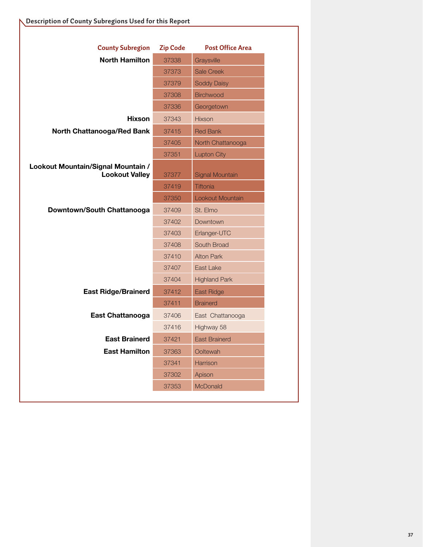| <b>County Subregion</b>                                     | <b>Zip Code</b> | <b>Post Office Area</b> |
|-------------------------------------------------------------|-----------------|-------------------------|
| <b>North Hamilton</b>                                       | 37338           | Graysville              |
|                                                             | 37373           | <b>Sale Creek</b>       |
|                                                             | 37379           | <b>Soddy Daisy</b>      |
|                                                             | 37308           | <b>Birchwood</b>        |
|                                                             | 37336           | Georgetown              |
| <b>Hixson</b>                                               | 37343           | <b>Hixson</b>           |
| <b>North Chattanooga/Red Bank</b>                           | 37415           | <b>Red Bank</b>         |
|                                                             | 37405           | North Chattanooga       |
|                                                             | 37351           | <b>Lupton City</b>      |
| Lookout Mountain/Signal Mountain /<br><b>Lookout Valley</b> | 37377           | <b>Signal Mountain</b>  |
|                                                             | 37419           | <b>Tiftonia</b>         |
|                                                             | 37350           | Lookout Mountain        |
| Downtown/South Chattanooga                                  | 37409           | St. Elmo                |
|                                                             | 37402           | Downtown                |
|                                                             | 37403           | Erlanger-UTC            |
|                                                             | 37408           | South Broad             |
|                                                             | 37410           | <b>Alton Park</b>       |
|                                                             | 37407           | East Lake               |
|                                                             | 37404           | <b>Highland Park</b>    |
| <b>East Ridge/Brainerd</b>                                  | 37412           | East Ridge              |
|                                                             | 37411           | <b>Brainerd</b>         |
| <b>East Chattanooga</b>                                     | 37406           | East Chattanooga        |
|                                                             | 37416           | Highway 58              |
| <b>East Brainerd</b>                                        | 37421           | <b>East Brainerd</b>    |
| <b>East Hamilton</b>                                        | 37363           | Ooltewah                |
|                                                             | 37341           | Harrison                |
|                                                             | 37302           | Apison                  |
|                                                             | 37353           | McDonald                |